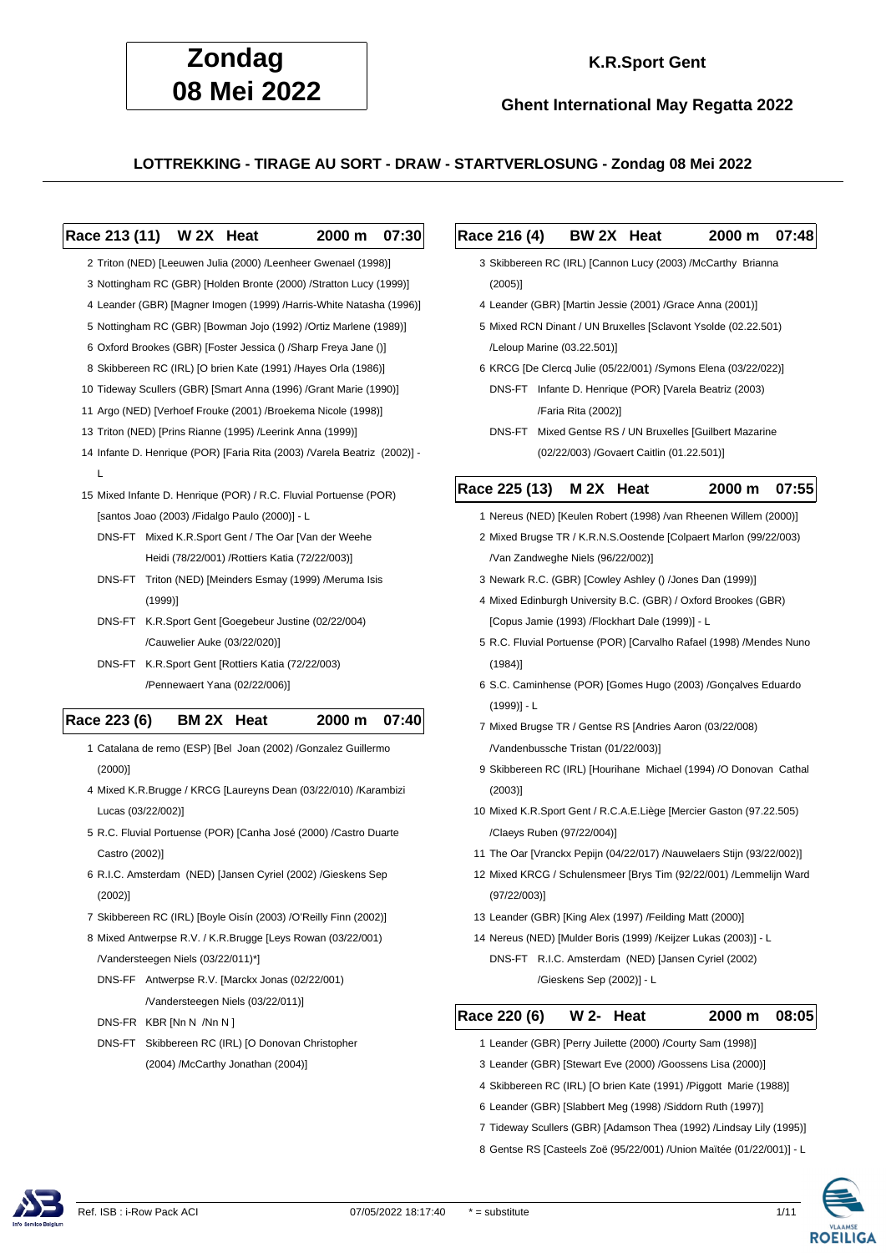

### **K.R.Sport Gent**

**Ghent International May Regatta 2022**

**LOTTREKKING - TIRAGE AU SORT - DRAW - STARTVERLOSUNG - Zondag 08 Mei 2022**

#### **Race 213 (11) W 2X Heat 2000 m 07:30**

2 Triton (NED) [Leeuwen Julia (2000) /Leenheer Gwenael (1998)]

- 3 Nottingham RC (GBR) [Holden Bronte (2000) /Stratton Lucy (1999)]
- 4 Leander (GBR) [Magner Imogen (1999) /Harris-White Natasha (1996)]
- 5 Nottingham RC (GBR) [Bowman Jojo (1992) /Ortiz Marlene (1989)]
- 6 Oxford Brookes (GBR) [Foster Jessica () /Sharp Freya Jane ()]
- 8 Skibbereen RC (IRL) [O brien Kate (1991) /Hayes Orla (1986)]
- 10 Tideway Scullers (GBR) [Smart Anna (1996) /Grant Marie (1990)]
- 11 Argo (NED) [Verhoef Frouke (2001) /Broekema Nicole (1998)]
- 13 Triton (NED) [Prins Rianne (1995) /Leerink Anna (1999)]
- 14 Infante D. Henrique (POR) [Faria Rita (2003) /Varela Beatriz (2002)]  $\mathbf{L}$
- 15 Mixed Infante D. Henrique (POR) / R.C. Fluvial Portuense (POR) [santos Joao (2003) /Fidalgo Paulo (2000)] - L
	- DNS-FT Mixed K.R.Sport Gent / The Oar [Van der Weehe Heidi (78/22/001) /Rottiers Katia (72/22/003)]
	- DNS-FT Triton (NED) [Meinders Esmay (1999) /Meruma Isis (1999)]
	- DNS-FT K.R.Sport Gent [Goegebeur Justine (02/22/004) /Cauwelier Auke (03/22/020)]
	- DNS-FT K.R.Sport Gent [Rottiers Katia (72/22/003) /Pennewaert Yana (02/22/006)]

#### **Race 223 (6) BM 2X Heat 2000 m 07:40**

- 1 Catalana de remo (ESP) [Bel Joan (2002) /Gonzalez Guillermo (2000)]
- 4 Mixed K.R.Brugge / KRCG [Laureyns Dean (03/22/010) /Karambizi Lucas (03/22/002)]
- 5 R.C. Fluvial Portuense (POR) [Canha José (2000) /Castro Duarte Castro (2002)]
- 6 R.I.C. Amsterdam (NED) [Jansen Cyriel (2002) /Gieskens Sep (2002)]
- 7 Skibbereen RC (IRL) [Boyle Oisín (2003) /O'Reilly Finn (2002)]
- 8 Mixed Antwerpse R.V. / K.R.Brugge [Leys Rowan (03/22/001) /Vandersteegen Niels (03/22/011)\*]
	- DNS-FF Antwerpse R.V. [Marckx Jonas (02/22/001) /Vandersteegen Niels (03/22/011)]
	- DNS-FR KBR [Nn N /Nn N ]
	- DNS-FT Skibbereen RC (IRL) [O Donovan Christopher (2004) /McCarthy Jonathan (2004)]

#### **Race 216 (4) BW 2X Heat 2000 m 07:48**

- 3 Skibbereen RC (IRL) [Cannon Lucy (2003) /McCarthy Brianna (2005)]
- 4 Leander (GBR) [Martin Jessie (2001) /Grace Anna (2001)]
- 5 Mixed RCN Dinant / UN Bruxelles [Sclavont Ysolde (02.22.501) /Leloup Marine (03.22.501)]
- 6 KRCG [De Clercq Julie (05/22/001) /Symons Elena (03/22/022)]
	- DNS-FT Infante D. Henrique (POR) [Varela Beatriz (2003) /Faria Rita (2002)]
	- DNS-FT Mixed Gentse RS / UN Bruxelles [Guilbert Mazarine (02/22/003) /Govaert Caitlin (01.22.501)]

#### **Race 225 (13) M 2X Heat 2000 m 07:55**

- 1 Nereus (NED) [Keulen Robert (1998) /van Rheenen Willem (2000)]
	- 2 Mixed Brugse TR / K.R.N.S.Oostende [Colpaert Marlon (99/22/003) /Van Zandweghe Niels (96/22/002)]
	- 3 Newark R.C. (GBR) [Cowley Ashley () /Jones Dan (1999)]
	- 4 Mixed Edinburgh University B.C. (GBR) / Oxford Brookes (GBR) [Copus Jamie (1993) /Flockhart Dale (1999)] - L
	- 5 R.C. Fluvial Portuense (POR) [Carvalho Rafael (1998) /Mendes Nuno (1984)]
	- 6 S.C. Caminhense (POR) [Gomes Hugo (2003) /Gonçalves Eduardo  $(1999)$ ] - L
	- 7 Mixed Brugse TR / Gentse RS [Andries Aaron (03/22/008) /Vandenbussche Tristan (01/22/003)]
	- 9 Skibbereen RC (IRL) [Hourihane Michael (1994) /O Donovan Cathal (2003)]
- 10 Mixed K.R.Sport Gent / R.C.A.E.Liège [Mercier Gaston (97.22.505) /Claeys Ruben (97/22/004)]
- 11 The Oar [Vranckx Pepijn (04/22/017) /Nauwelaers Stijn (93/22/002)]
- 12 Mixed KRCG / Schulensmeer [Brys Tim (92/22/001) /Lemmelijn Ward (97/22/003)]
- 13 Leander (GBR) [King Alex (1997) /Feilding Matt (2000)]
- 14 Nereus (NED) [Mulder Boris (1999) /Keijzer Lukas (2003)] L DNS-FT R.I.C. Amsterdam (NED) [Jansen Cyriel (2002) /Gieskens Sep (2002)] - L

#### **Race 220 (6) W 2- Heat 2000 m 08:05**

- 1 Leander (GBR) [Perry Juilette (2000) /Courty Sam (1998)]
- 3 Leander (GBR) [Stewart Eve (2000) /Goossens Lisa (2000)]
- 4 Skibbereen RC (IRL) [O brien Kate (1991) /Piggott Marie (1988)]
- 6 Leander (GBR) [Slabbert Meg (1998) /Siddorn Ruth (1997)]
- 7 Tideway Scullers (GBR) [Adamson Thea (1992) /Lindsay Lily (1995)]
- 8 Gentse RS [Casteels Zoë (95/22/001) /Union Maïtée (01/22/001)] L



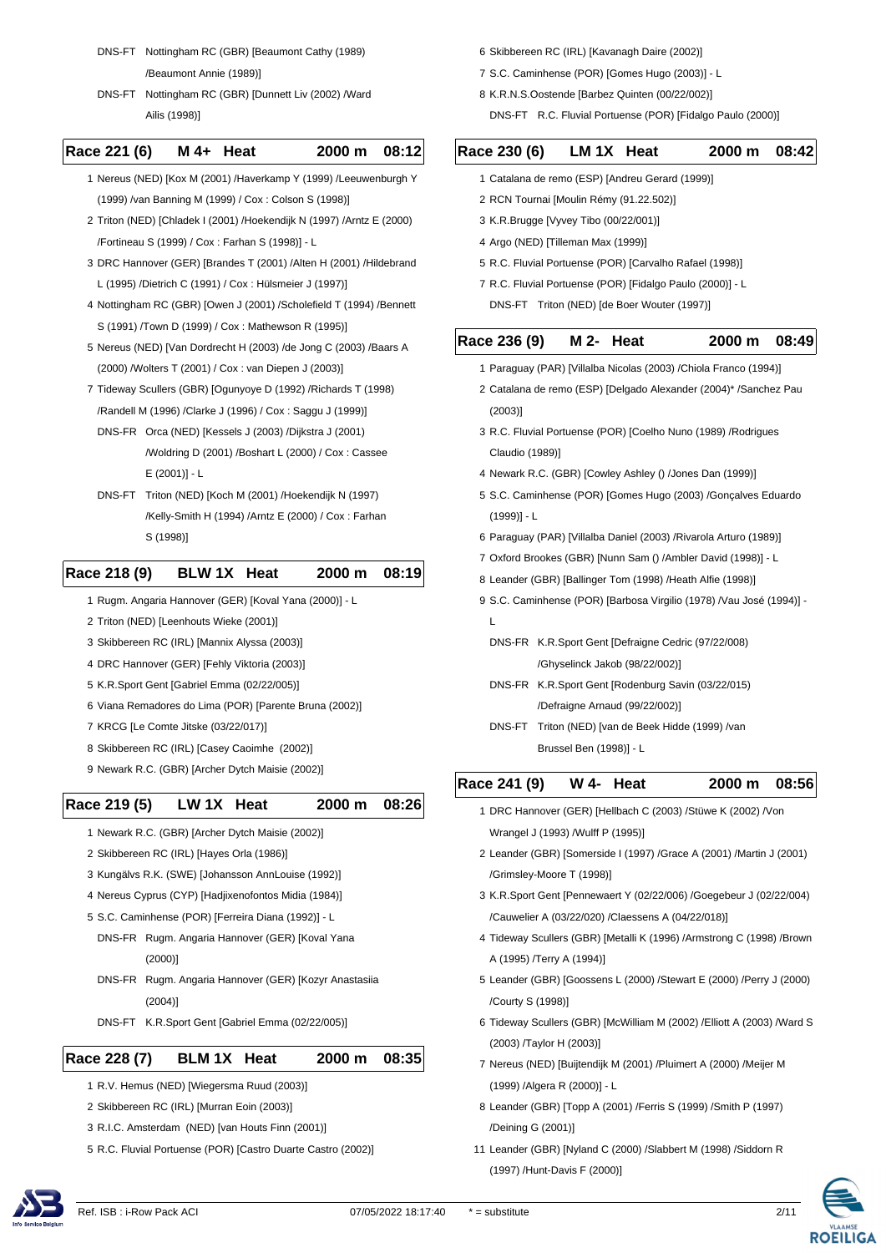DNS-FT Nottingham RC (GBR) [Beaumont Cathy (1989)

/Beaumont Annie (1989)]

DNS-FT Nottingham RC (GBR) [Dunnett Liv (2002) /Ward Ailis (1998)]

#### **Race 221 (6) M 4+ Heat 2000 m 08:12**

 1 Nereus (NED) [Kox M (2001) /Haverkamp Y (1999) /Leeuwenburgh Y (1999) /van Banning M (1999) / Cox : Colson S (1998)]

- 2 Triton (NED) [Chladek I (2001) /Hoekendijk N (1997) /Arntz E (2000) /Fortineau S (1999) / Cox : Farhan S (1998)] - L
- 3 DRC Hannover (GER) [Brandes T (2001) /Alten H (2001) /Hildebrand L (1995) /Dietrich C (1991) / Cox : Hülsmeier J (1997)]
- 4 Nottingham RC (GBR) [Owen J (2001) /Scholefield T (1994) /Bennett S (1991) /Town D (1999) / Cox : Mathewson R (1995)]
- 5 Nereus (NED) [Van Dordrecht H (2003) /de Jong C (2003) /Baars A (2000) /Wolters T (2001) / Cox : van Diepen J (2003)]
- 7 Tideway Scullers (GBR) [Ogunyoye D (1992) /Richards T (1998) /Randell M (1996) /Clarke J (1996) / Cox : Saggu J (1999)]
	- DNS-FR Orca (NED) [Kessels J (2003) /Dijkstra J (2001) /Woldring D (2001) /Boshart L (2000) / Cox : Cassee E (2001)] - L
- DNS-FT Triton (NED) [Koch M (2001) /Hoekendijk N (1997) /Kelly-Smith H (1994) /Arntz E (2000) / Cox : Farhan S (1998)]

### **Race 218 (9) BLW 1X Heat 2000 m 08:19**

- 1 Rugm. Angaria Hannover (GER) [Koval Yana (2000)] L
- 2 Triton (NED) [Leenhouts Wieke (2001)]
- 3 Skibbereen RC (IRL) [Mannix Alyssa (2003)]
- 4 DRC Hannover (GER) [Fehly Viktoria (2003)]
- 5 K.R.Sport Gent [Gabriel Emma (02/22/005)]
- 6 Viana Remadores do Lima (POR) [Parente Bruna (2002)]
- 7 KRCG [Le Comte Jitske (03/22/017)]
- 8 Skibbereen RC (IRL) [Casey Caoimhe (2002)]
- 9 Newark R.C. (GBR) [Archer Dytch Maisie (2002)]

### **Race 219 (5) LW 1X Heat 2000 m 08:26**

- 1 Newark R.C. (GBR) [Archer Dytch Maisie (2002)]
- 2 Skibbereen RC (IRL) [Hayes Orla (1986)]
- 3 Kungälvs R.K. (SWE) [Johansson AnnLouise (1992)]
- 4 Nereus Cyprus (CYP) [Hadjixenofontos Midia (1984)]
- 5 S.C. Caminhense (POR) [Ferreira Diana (1992)] L
	- DNS-FR Rugm. Angaria Hannover (GER) [Koval Yana (2000)]
	- DNS-FR Rugm. Angaria Hannover (GER) [Kozyr Anastasiia (2004)]
	- DNS-FT K.R.Sport Gent [Gabriel Emma (02/22/005)]

#### **Race 228 (7) BLM 1X Heat 2000 m 08:35**

- 1 R.V. Hemus (NED) [Wiegersma Ruud (2003)]
- 2 Skibbereen RC (IRL) [Murran Eoin (2003)]
- 3 R.I.C. Amsterdam (NED) [van Houts Finn (2001)]
- 5 R.C. Fluvial Portuense (POR) [Castro Duarte Castro (2002)]

6 Skibbereen RC (IRL) [Kavanagh Daire (2002)]

- 7 S.C. Caminhense (POR) [Gomes Hugo (2003)] L
- 8 K.R.N.S.Oostende [Barbez Quinten (00/22/002)]
	- DNS-FT R.C. Fluvial Portuense (POR) [Fidalgo Paulo (2000)]

| Race 230 (6)    | LM 1X                                                      | Heat        | 2000 m                                                                | 08:4  |
|-----------------|------------------------------------------------------------|-------------|-----------------------------------------------------------------------|-------|
|                 | 1 Catalana de remo (ESP) [Andreu Gerard (1999)]            |             |                                                                       |       |
|                 | 2 RCN Tournai [Moulin Rémy (91.22.502)]                    |             |                                                                       |       |
|                 | 3 K.R.Brugge [Vyvey Tibo (00/22/001)]                      |             |                                                                       |       |
|                 | 4 Argo (NED) [Tilleman Max (1999)]                         |             |                                                                       |       |
|                 | 5 R.C. Fluvial Portuense (POR) [Carvalho Rafael (1998)]    |             |                                                                       |       |
|                 | 7 R.C. Fluvial Portuense (POR) [Fidalgo Paulo (2000)] - L  |             |                                                                       |       |
|                 | DNS-FT Triton (NED) [de Boer Wouter (1997)]                |             |                                                                       |       |
| Race 236 (9)    | M 2-                                                       | <b>Heat</b> | 2000 m                                                                | 08:49 |
|                 |                                                            |             | 1 Paraguay (PAR) [Villalba Nicolas (2003) / Chiola Franco (1994)]     |       |
|                 |                                                            |             | 2 Catalana de remo (ESP) [Delgado Alexander (2004)* /Sanchez Pau      |       |
| $(2003)$ ]      |                                                            |             |                                                                       |       |
|                 |                                                            |             | 3 R.C. Fluvial Portuense (POR) [Coelho Nuno (1989) /Rodrigues         |       |
| Claudio (1989)] |                                                            |             |                                                                       |       |
|                 | 4 Newark R.C. (GBR) [Cowley Ashley () /Jones Dan (1999)]   |             |                                                                       |       |
|                 |                                                            |             | 5 S.C. Caminhense (POR) [Gomes Hugo (2003) /Gonçalves Eduardo         |       |
| $(1999)$ ] - L  |                                                            |             |                                                                       |       |
|                 |                                                            |             | 6 Paraguay (PAR) [Villalba Daniel (2003) / Rivarola Arturo (1989)]    |       |
|                 |                                                            |             | 7 Oxford Brookes (GBR) [Nunn Sam () /Ambler David (1998)] - L         |       |
|                 | 8 Leander (GBR) [Ballinger Tom (1998) /Heath Alfie (1998)] |             |                                                                       |       |
|                 |                                                            |             | 9 S.C. Caminhense (POR) [Barbosa Virgilio (1978) / Vau José (1994)] - |       |
| L               |                                                            |             |                                                                       |       |
|                 | DNS-FR K.R.Sport Gent [Defraigne Cedric (97/22/008)        |             |                                                                       |       |
|                 | /Ghyselinck Jakob (98/22/002)]                             |             |                                                                       |       |
|                 | DNS-FR K.R.Sport Gent [Rodenburg Savin (03/22/015)         |             |                                                                       |       |
|                 | /Defraigne Arnaud (99/22/002)]                             |             |                                                                       |       |

DNS-FT Triton (NED) [van de Beek Hidde (1999) /van Brussel Ben (1998)] - L

# **Race 241 (9) W 4- Heat 2000 m 08:56**

- 1 DRC Hannover (GER) [Hellbach C (2003) /Stüwe K (2002) /Von Wrangel J (1993) /Wulff P (1995)]
- 2 Leander (GBR) [Somerside I (1997) /Grace A (2001) /Martin J (2001) /Grimsley-Moore T (1998)]
- 3 K.R.Sport Gent [Pennewaert Y (02/22/006) /Goegebeur J (02/22/004) /Cauwelier A (03/22/020) /Claessens A (04/22/018)]
- 4 Tideway Scullers (GBR) [Metalli K (1996) /Armstrong C (1998) /Brown A (1995) /Terry A (1994)]
- 5 Leander (GBR) [Goossens L (2000) /Stewart E (2000) /Perry J (2000) /Courty S (1998)]
- 6 Tideway Scullers (GBR) [McWilliam M (2002) /Elliott A (2003) /Ward S (2003) /Taylor H (2003)]
- 7 Nereus (NED) [Buijtendijk M (2001) /Pluimert A (2000) /Meijer M (1999) /Algera R (2000)] - L
- 8 Leander (GBR) [Topp A (2001) /Ferris S (1999) /Smith P (1997) /Deining G (2001)]
- 11 Leander (GBR) [Nyland C (2000) /Slabbert M (1998) /Siddorn R (1997) /Hunt-Davis F (2000)]



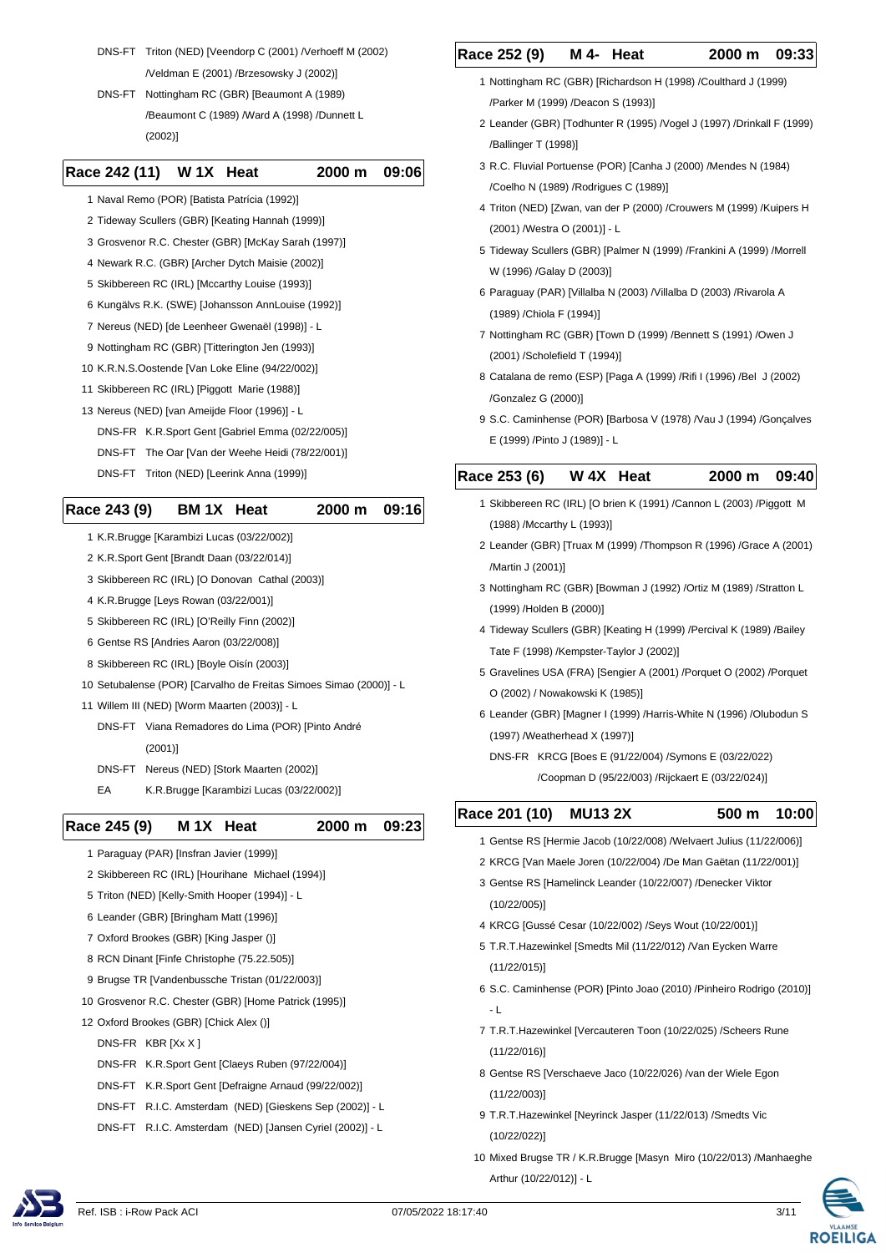DNS-FT Triton (NED) [Veendorp C (2001) /Verhoeff M (2002) /Veldman E (2001) /Brzesowsky J (2002)]

DNS-FT Nottingham RC (GBR) [Beaumont A (1989) /Beaumont C (1989) /Ward A (1998) /Dunnett L (2002)]

#### **Race 242 (11) W 1X Heat 2000 m 09:06**

- 1 Naval Remo (POR) [Batista Patrícia (1992)]
- 2 Tideway Scullers (GBR) [Keating Hannah (1999)]
- 3 Grosvenor R.C. Chester (GBR) [McKay Sarah (1997)]
- 4 Newark R.C. (GBR) [Archer Dytch Maisie (2002)]
- 5 Skibbereen RC (IRL) [Mccarthy Louise (1993)]
- 6 Kungälvs R.K. (SWE) [Johansson AnnLouise (1992)]
- 7 Nereus (NED) [de Leenheer Gwenaël (1998)] L
- 9 Nottingham RC (GBR) [Titterington Jen (1993)]
- 10 K.R.N.S.Oostende [Van Loke Eline (94/22/002)]
- 11 Skibbereen RC (IRL) [Piggott Marie (1988)]
- 13 Nereus (NED) [van Ameijde Floor (1996)] L
	- DNS-FR K.R.Sport Gent [Gabriel Emma (02/22/005)]
	- DNS-FT The Oar [Van der Weehe Heidi (78/22/001)]
- DNS-FT Triton (NED) [Leerink Anna (1999)]

#### **Race 243 (9) BM 1X Heat 2000 m 09:16**

- 1 K.R.Brugge [Karambizi Lucas (03/22/002)]
- 2 K.R.Sport Gent [Brandt Daan (03/22/014)]
- 3 Skibbereen RC (IRL) [O Donovan Cathal (2003)]
- 4 K.R.Brugge [Leys Rowan (03/22/001)]
- 5 Skibbereen RC (IRL) [O'Reilly Finn (2002)]
- 6 Gentse RS [Andries Aaron (03/22/008)]
- 8 Skibbereen RC (IRL) [Boyle Oisín (2003)]
- 10 Setubalense (POR) [Carvalho de Freitas Simoes Simao (2000)] L
- 11 Willem III (NED) [Worm Maarten (2003)] L
	- DNS-FT Viana Remadores do Lima (POR) [Pinto André (2001)]
- DNS-FT Nereus (NED) [Stork Maarten (2002)]
- EA K.R.Brugge [Karambizi Lucas (03/22/002)]

#### **Race 245 (9) M 1X Heat 2000 m 09:23**

- 1 Paraguay (PAR) [Insfran Javier (1999)]
- 2 Skibbereen RC (IRL) [Hourihane Michael (1994)]
- 5 Triton (NED) [Kelly-Smith Hooper (1994)] L
- 6 Leander (GBR) [Bringham Matt (1996)]
- 7 Oxford Brookes (GBR) [King Jasper ()]
- 8 RCN Dinant [Finfe Christophe (75.22.505)]
- 9 Brugse TR [Vandenbussche Tristan (01/22/003)]
- 10 Grosvenor R.C. Chester (GBR) [Home Patrick (1995)]
- 12 Oxford Brookes (GBR) [Chick Alex ()]
	- DNS-FR KBR [Xx X ]
	- DNS-FR K.R.Sport Gent [Claeys Ruben (97/22/004)]
	- DNS-FT K.R.Sport Gent [Defraigne Arnaud (99/22/002)]
	- DNS-FT R.I.C. Amsterdam (NED) [Gieskens Sep (2002)] L
	- DNS-FT R.I.C. Amsterdam (NED) [Jansen Cyriel (2002)] L

# **Race 252 (9) M 4- Heat 2000 m 09:33**

- 1 Nottingham RC (GBR) [Richardson H (1998) /Coulthard J (1999) /Parker M (1999) /Deacon S (1993)]
- 2 Leander (GBR) [Todhunter R (1995) /Vogel J (1997) /Drinkall F (1999) /Ballinger T (1998)]
- 3 R.C. Fluvial Portuense (POR) [Canha J (2000) /Mendes N (1984) /Coelho N (1989) /Rodrigues C (1989)]
- 4 Triton (NED) [Zwan, van der P (2000) /Crouwers M (1999) /Kuipers H (2001) /Westra O (2001)] - L
- 5 Tideway Scullers (GBR) [Palmer N (1999) /Frankini A (1999) /Morrell W (1996) /Galay D (2003)]
- 6 Paraguay (PAR) [Villalba N (2003) /Villalba D (2003) /Rivarola A (1989) /Chiola F (1994)]
- 7 Nottingham RC (GBR) [Town D (1999) /Bennett S (1991) /Owen J (2001) /Scholefield T (1994)]
- 8 Catalana de remo (ESP) [Paga A (1999) /Rifi I (1996) /Bel J (2002) /Gonzalez G (2000)]
- 9 S.C. Caminhense (POR) [Barbosa V (1978) /Vau J (1994) /Gonçalves E (1999) /Pinto J (1989)] - L

#### **Race 253 (6) W 4X Heat 2000 m 09:40**

- 1 Skibbereen RC (IRL) [O brien K (1991) /Cannon L (2003) /Piggott M (1988) /Mccarthy L (1993)]
- 2 Leander (GBR) [Truax M (1999) /Thompson R (1996) /Grace A (2001) /Martin J (2001)]
- 3 Nottingham RC (GBR) [Bowman J (1992) /Ortiz M (1989) /Stratton L (1999) /Holden B (2000)]
- 4 Tideway Scullers (GBR) [Keating H (1999) /Percival K (1989) /Bailey Tate F (1998) /Kempster-Taylor J (2002)]
- 5 Gravelines USA (FRA) [Sengier A (2001) /Porquet O (2002) /Porquet O (2002) / Nowakowski K (1985)]
- 6 Leander (GBR) [Magner I (1999) /Harris-White N (1996) /Olubodun S (1997) /Weatherhead X (1997)]
	- DNS-FR KRCG [Boes E (91/22/004) /Symons E (03/22/022) /Coopman D (95/22/003) /Rijckaert E (03/22/024)]

# **Race 201 (10) MU13 2X 500 m 10:00**

- 1 Gentse RS [Hermie Jacob (10/22/008) /Welvaert Julius (11/22/006)]
- 2 KRCG [Van Maele Joren (10/22/004) /De Man Gaëtan (11/22/001)]
- 3 Gentse RS [Hamelinck Leander (10/22/007) /Denecker Viktor (10/22/005)]
- 4 KRCG [Gussé Cesar (10/22/002) /Seys Wout (10/22/001)]
- 5 T.R.T.Hazewinkel [Smedts Mil (11/22/012) /Van Eycken Warre (11/22/015)]
- 6 S.C. Caminhense (POR) [Pinto Joao (2010) /Pinheiro Rodrigo (2010)]  $-1$
- 7 T.R.T.Hazewinkel [Vercauteren Toon (10/22/025) /Scheers Rune (11/22/016)]
- 8 Gentse RS [Verschaeve Jaco (10/22/026) /van der Wiele Egon (11/22/003)]
- 9 T.R.T.Hazewinkel [Neyrinck Jasper (11/22/013) /Smedts Vic (10/22/022)]
- 10 Mixed Brugse TR / K.R.Brugge [Masyn Miro (10/22/013) /Manhaeghe Arthur (10/22/012)] - L



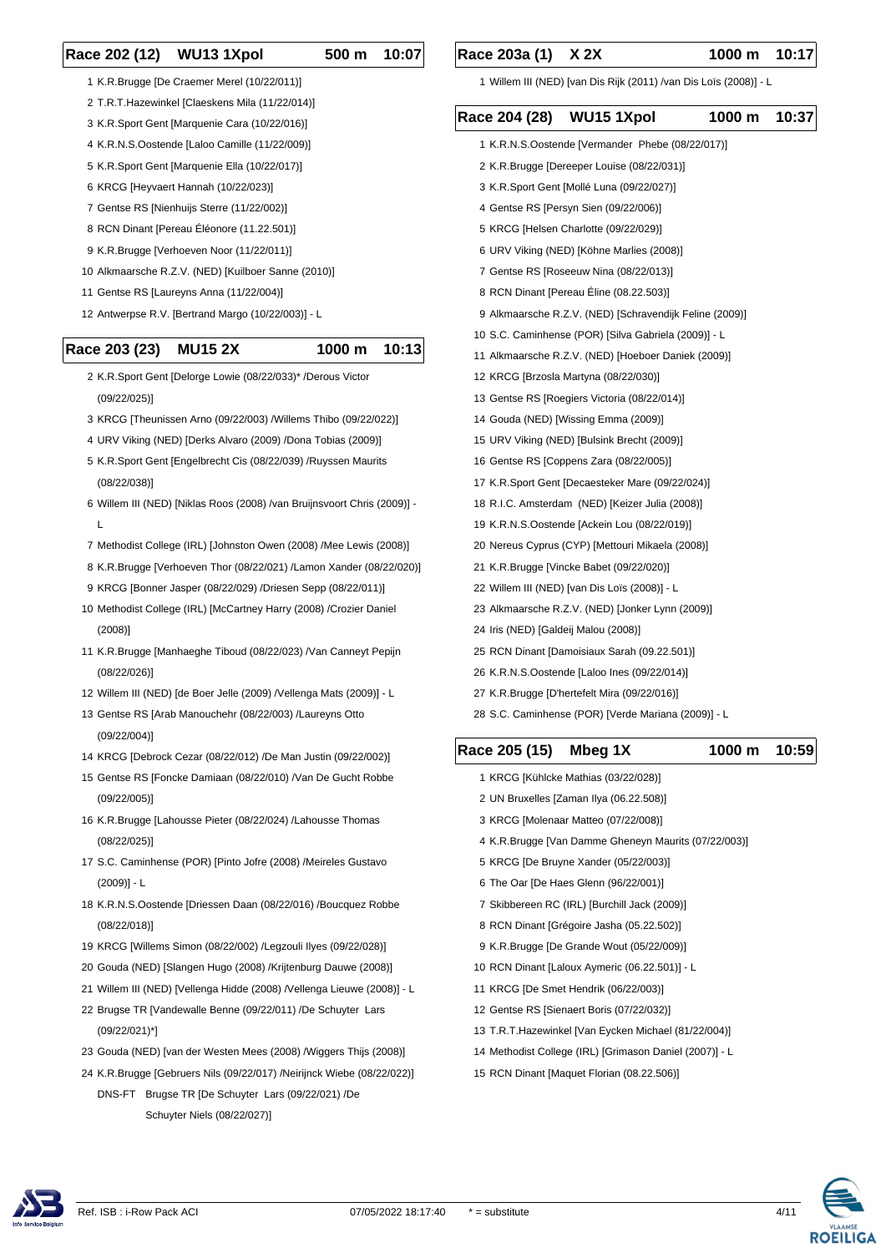#### **Race 202 (12) WU13 1Xpol 500 m 10:07**

- K.R.Brugge [De Craemer Merel (10/22/011)]
- T.R.T.Hazewinkel [Claeskens Mila (11/22/014)]
- K.R.Sport Gent [Marquenie Cara (10/22/016)]
- K.R.N.S.Oostende [Laloo Camille (11/22/009)]
- K.R.Sport Gent [Marquenie Ella (10/22/017)]
- KRCG [Heyvaert Hannah (10/22/023)]
- Gentse RS [Nienhuijs Sterre (11/22/002)]
- RCN Dinant [Pereau Éléonore (11.22.501)]
- K.R.Brugge [Verhoeven Noor (11/22/011)]
- Alkmaarsche R.Z.V. (NED) [Kuilboer Sanne (2010)]
- Gentse RS [Laureyns Anna (11/22/004)]
- Antwerpse R.V. [Bertrand Margo (10/22/003)] L

#### **Race 203 (23) MU15 2X 1000 m 10:13**

- K.R.Sport Gent [Delorge Lowie (08/22/033)\* /Derous Victor (09/22/025)]
- KRCG [Theunissen Arno (09/22/003) /Willems Thibo (09/22/022)]
- URV Viking (NED) [Derks Alvaro (2009) /Dona Tobias (2009)]
- K.R.Sport Gent [Engelbrecht Cis (08/22/039) /Ruyssen Maurits (08/22/038)]
- Willem III (NED) [Niklas Roos (2008) /van Bruijnsvoort Chris (2009)] L
- Methodist College (IRL) [Johnston Owen (2008) /Mee Lewis (2008)]
- K.R.Brugge [Verhoeven Thor (08/22/021) /Lamon Xander (08/22/020)]
- KRCG [Bonner Jasper (08/22/029) /Driesen Sepp (08/22/011)]
- Methodist College (IRL) [McCartney Harry (2008) /Crozier Daniel (2008)]
- K.R.Brugge [Manhaeghe Tiboud (08/22/023) /Van Canneyt Pepijn (08/22/026)]
- Willem III (NED) [de Boer Jelle (2009) /Vellenga Mats (2009)] L
- Gentse RS [Arab Manouchehr (08/22/003) /Laureyns Otto (09/22/004)]
- KRCG [Debrock Cezar (08/22/012) /De Man Justin (09/22/002)]
- Gentse RS [Foncke Damiaan (08/22/010) /Van De Gucht Robbe (09/22/005)]
- K.R.Brugge [Lahousse Pieter (08/22/024) /Lahousse Thomas (08/22/025)]
- S.C. Caminhense (POR) [Pinto Jofre (2008) /Meireles Gustavo (2009)] - L
- K.R.N.S.Oostende [Driessen Daan (08/22/016) /Boucquez Robbe (08/22/018)]
- KRCG [Willems Simon (08/22/002) /Legzouli Ilyes (09/22/028)]
- Gouda (NED) [Slangen Hugo (2008) /Krijtenburg Dauwe (2008)]
- Willem III (NED) [Vellenga Hidde (2008) /Vellenga Lieuwe (2008)] L
- Brugse TR [Vandewalle Benne (09/22/011) /De Schuyter Lars (09/22/021)\*]
- Gouda (NED) [van der Westen Mees (2008) /Wiggers Thijs (2008)]
- K.R.Brugge [Gebruers Nils (09/22/017) /Neirijnck Wiebe (08/22/022)]
- DNS-FT Brugse TR [De Schuyter Lars (09/22/021) /De Schuyter Niels (08/22/027)]

Willem III (NED) [van Dis Rijk (2011) /van Dis Loïs (2008)] - L

# **Race 204 (28) WU15 1Xpol 1000 m 10:37**

- K.R.N.S.Oostende [Vermander Phebe (08/22/017)] K.R.Brugge [Dereeper Louise (08/22/031)]
- K.R.Sport Gent [Mollé Luna (09/22/027)]
- Gentse RS [Persyn Sien (09/22/006)]
- KRCG [Helsen Charlotte (09/22/029)]
- URV Viking (NED) [Köhne Marlies (2008)]
- Gentse RS [Roseeuw Nina (08/22/013)]
- RCN Dinant [Pereau Éline (08.22.503)]
- Alkmaarsche R.Z.V. (NED) [Schravendijk Feline (2009)]
- S.C. Caminhense (POR) [Silva Gabriela (2009)] L
- Alkmaarsche R.Z.V. (NED) [Hoeboer Daniek (2009)]
- KRCG [Brzosla Martyna (08/22/030)]
- Gentse RS [Roegiers Victoria (08/22/014)]
- Gouda (NED) [Wissing Emma (2009)]
- URV Viking (NED) [Bulsink Brecht (2009)]
- Gentse RS [Coppens Zara (08/22/005)]
- K.R.Sport Gent [Decaesteker Mare (09/22/024)]
- R.I.C. Amsterdam (NED) [Keizer Julia (2008)]
- K.R.N.S.Oostende [Ackein Lou (08/22/019)]
- Nereus Cyprus (CYP) [Mettouri Mikaela (2008)]
- K.R.Brugge [Vincke Babet (09/22/020)]
- Willem III (NED) [van Dis Loïs (2008)] L
- Alkmaarsche R.Z.V. (NED) [Jonker Lynn (2009)]
- Iris (NED) [Galdeij Malou (2008)]
- RCN Dinant [Damoisiaux Sarah (09.22.501)]
- K.R.N.S.Oostende [Laloo Ines (09/22/014)]
- K.R.Brugge [D'hertefelt Mira (09/22/016)]
- S.C. Caminhense (POR) [Verde Mariana (2009)] L

# **Race 205 (15) Mbeg 1X 1000 m 10:59**

- KRCG [Kühlcke Mathias (03/22/028)]
- UN Bruxelles [Zaman Ilya (06.22.508)]
- KRCG [Molenaar Matteo (07/22/008)]
- K.R.Brugge [Van Damme Gheneyn Maurits (07/22/003)]
- KRCG [De Bruyne Xander (05/22/003)]
- The Oar [De Haes Glenn (96/22/001)]
- Skibbereen RC (IRL) [Burchill Jack (2009)]
- RCN Dinant [Grégoire Jasha (05.22.502)]
- K.R.Brugge [De Grande Wout (05/22/009)]
- RCN Dinant [Laloux Aymeric (06.22.501)] L
- KRCG [De Smet Hendrik (06/22/003)]
- Gentse RS [Sienaert Boris (07/22/032)]
- T.R.T.Hazewinkel [Van Eycken Michael (81/22/004)]
- Methodist College (IRL) [Grimason Daniel (2007)] L
- RCN Dinant [Maquet Florian (08.22.506)]

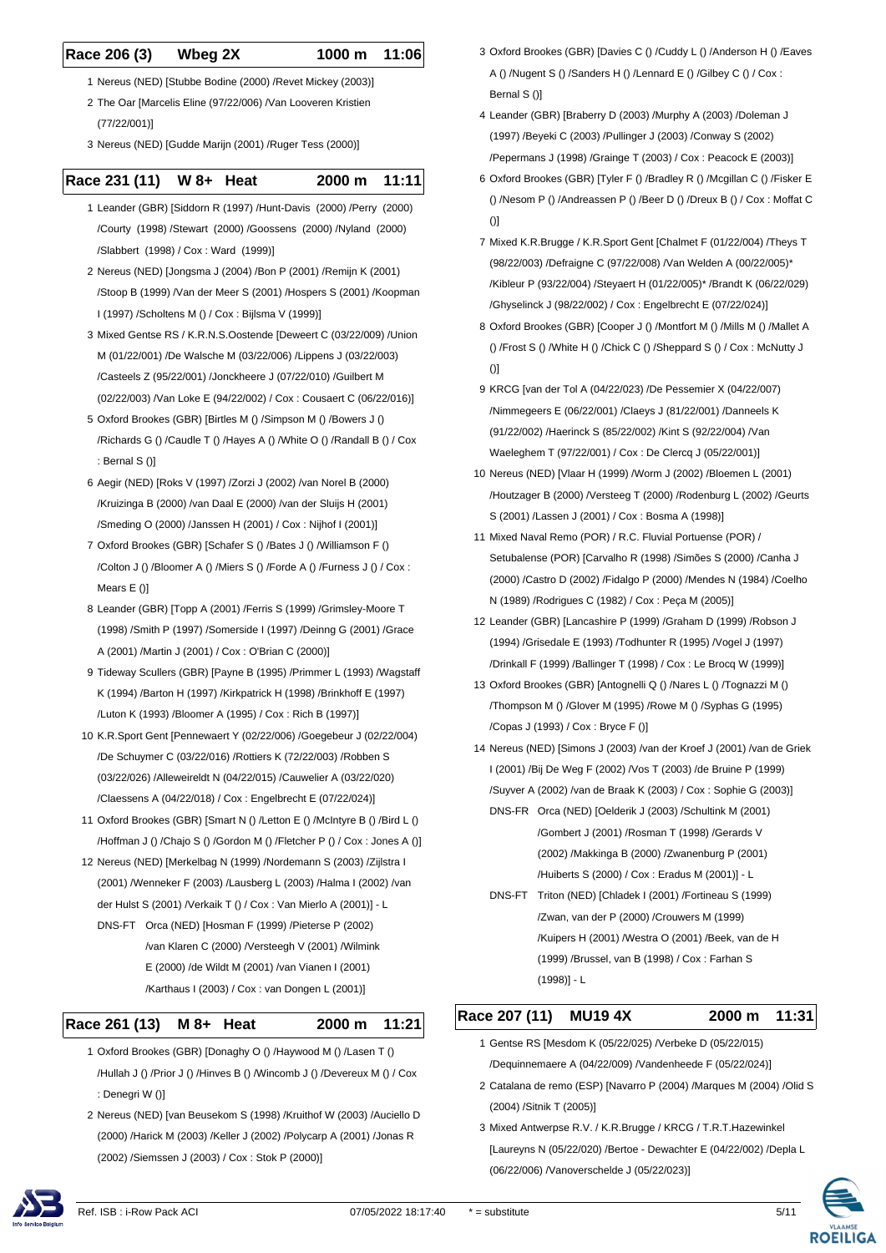#### **Race 206 (3) Wbeg 2X 1000 m 11:06**

- 1 Nereus (NED) [Stubbe Bodine (2000) /Revet Mickey (2003)]
- 2 The Oar [Marcelis Eline (97/22/006) /Van Looveren Kristien (77/22/001)]
- 3 Nereus (NED) [Gudde Marijn (2001) /Ruger Tess (2000)]

#### **Race 231 (11) W 8+ Heat 2000 m 11:11**

- 1 Leander (GBR) [Siddorn R (1997) /Hunt-Davis (2000) /Perry (2000) /Courty (1998) /Stewart (2000) /Goossens (2000) /Nyland (2000) /Slabbert (1998) / Cox : Ward (1999)]
- 2 Nereus (NED) [Jongsma J (2004) /Bon P (2001) /Remijn K (2001) /Stoop B (1999) /Van der Meer S (2001) /Hospers S (2001) /Koopman I (1997) /Scholtens M () / Cox : Bijlsma V (1999)]
- 3 Mixed Gentse RS / K.R.N.S.Oostende [Deweert C (03/22/009) /Union M (01/22/001) /De Walsche M (03/22/006) /Lippens J (03/22/003) /Casteels Z (95/22/001) /Jonckheere J (07/22/010) /Guilbert M (02/22/003) /Van Loke E (94/22/002) / Cox : Cousaert C (06/22/016)]
- 5 Oxford Brookes (GBR) [Birtles M () /Simpson M () /Bowers J () /Richards G () /Caudle T () /Hayes A () /White O () /Randall B () / Cox : Bernal S ()]
- 6 Aegir (NED) [Roks V (1997) /Zorzi J (2002) /van Norel B (2000) /Kruizinga B (2000) /van Daal E (2000) /van der Sluijs H (2001) /Smeding O (2000) /Janssen H (2001) / Cox : Nijhof I (2001)]
- 7 Oxford Brookes (GBR) [Schafer S () /Bates J () /Williamson F () /Colton J () /Bloomer A () /Miers S () /Forde A () /Furness J () / Cox : Mears E ()]
- 8 Leander (GBR) [Topp A (2001) /Ferris S (1999) /Grimsley-Moore T (1998) /Smith P (1997) /Somerside I (1997) /Deinng G (2001) /Grace A (2001) /Martin J (2001) / Cox : O'Brian C (2000)]
- 9 Tideway Scullers (GBR) [Payne B (1995) /Primmer L (1993) /Wagstaff K (1994) /Barton H (1997) /Kirkpatrick H (1998) /Brinkhoff E (1997) /Luton K (1993) /Bloomer A (1995) / Cox : Rich B (1997)]
- 10 K.R.Sport Gent [Pennewaert Y (02/22/006) /Goegebeur J (02/22/004) /De Schuymer C (03/22/016) /Rottiers K (72/22/003) /Robben S (03/22/026) /Alleweireldt N (04/22/015) /Cauwelier A (03/22/020) /Claessens A (04/22/018) / Cox : Engelbrecht E (07/22/024)]
- 11 Oxford Brookes (GBR) [Smart N () /Letton E () /McIntyre B () /Bird L () /Hoffman J () /Chajo S () /Gordon M () /Fletcher P () / Cox : Jones A ()]
- 12 Nereus (NED) [Merkelbag N (1999) /Nordemann S (2003) /Zijlstra I (2001) /Wenneker F (2003) /Lausberg L (2003) /Halma I (2002) /van der Hulst S (2001) /Verkaik T () / Cox : Van Mierlo A (2001)] - L
	- DNS-FT Orca (NED) [Hosman F (1999) /Pieterse P (2002) /van Klaren C (2000) /Versteegh V (2001) /Wilmink E (2000) /de Wildt M (2001) /van Vianen I (2001) /Karthaus I (2003) / Cox : van Dongen L (2001)]

#### **Race 261 (13) M 8+ Heat 2000 m 11:21**

- 1 Oxford Brookes (GBR) [Donaghy O () /Haywood M () /Lasen T () /Hullah J () /Prior J () /Hinves B () /Wincomb J () /Devereux M () / Cox : Denegri W ()]
- 2 Nereus (NED) [van Beusekom S (1998) /Kruithof W (2003) /Auciello D (2000) /Harick M (2003) /Keller J (2002) /Polycarp A (2001) /Jonas R (2002) /Siemssen J (2003) / Cox : Stok P (2000)]
- 3 Oxford Brookes (GBR) [Davies C () /Cuddy L () /Anderson H () /Eaves A () /Nugent S () /Sanders H () /Lennard E () /Gilbey C () / Cox : Bernal S ()]
- 4 Leander (GBR) [Braberry D (2003) /Murphy A (2003) /Doleman J (1997) /Beyeki C (2003) /Pullinger J (2003) /Conway S (2002) /Pepermans J (1998) /Grainge T (2003) / Cox : Peacock E (2003)]
- 6 Oxford Brookes (GBR) [Tyler F () /Bradley R () /Mcgillan C () /Fisker E () /Nesom P () /Andreassen P () /Beer D () /Dreux B () / Cox : Moffat C  $()$ ]
- 7 Mixed K.R.Brugge / K.R.Sport Gent [Chalmet F (01/22/004) /Theys T (98/22/003) /Defraigne C (97/22/008) /Van Welden A (00/22/005)\* /Kibleur P (93/22/004) /Steyaert H (01/22/005)\* /Brandt K (06/22/029) /Ghyselinck J (98/22/002) / Cox : Engelbrecht E (07/22/024)]
- 8 Oxford Brookes (GBR) [Cooper J () /Montfort M () /Mills M () /Mallet A () /Frost S () /White H () /Chick C () /Sheppard S () / Cox : McNutty J ()]
- 9 KRCG [van der Tol A (04/22/023) /De Pessemier X (04/22/007) /Nimmegeers E (06/22/001) /Claeys J (81/22/001) /Danneels K (91/22/002) /Haerinck S (85/22/002) /Kint S (92/22/004) /Van Waeleghem T (97/22/001) / Cox : De Clercq J (05/22/001)]
- 10 Nereus (NED) [Vlaar H (1999) /Worm J (2002) /Bloemen L (2001) /Houtzager B (2000) /Versteeg T (2000) /Rodenburg L (2002) /Geurts S (2001) /Lassen J (2001) / Cox : Bosma A (1998)]
- 11 Mixed Naval Remo (POR) / R.C. Fluvial Portuense (POR) / Setubalense (POR) [Carvalho R (1998) /Simões S (2000) /Canha J (2000) /Castro D (2002) /Fidalgo P (2000) /Mendes N (1984) /Coelho N (1989) /Rodrigues C (1982) / Cox : Peça M (2005)]
- 12 Leander (GBR) [Lancashire P (1999) /Graham D (1999) /Robson J (1994) /Grisedale E (1993) /Todhunter R (1995) /Vogel J (1997) /Drinkall F (1999) /Ballinger T (1998) / Cox : Le Brocq W (1999)]
- 13 Oxford Brookes (GBR) [Antognelli Q () /Nares L () /Tognazzi M () /Thompson M () /Glover M (1995) /Rowe M () /Syphas G (1995) /Copas J (1993) / Cox : Bryce F ()]
- 14 Nereus (NED) [Simons J (2003) /van der Kroef J (2001) /van de Griek I (2001) /Bij De Weg F (2002) /Vos T (2003) /de Bruine P (1999) /Suyver A (2002) /van de Braak K (2003) / Cox : Sophie G (2003)]
	- DNS-FR Orca (NED) [Oelderik J (2003) /Schultink M (2001) /Gombert J (2001) /Rosman T (1998) /Gerards V (2002) /Makkinga B (2000) /Zwanenburg P (2001) /Huiberts S (2000) / Cox : Eradus M (2001)] - L
	- DNS-FT Triton (NED) [Chladek I (2001) /Fortineau S (1999) /Zwan, van der P (2000) /Crouwers M (1999) /Kuipers H (2001) /Westra O (2001) /Beek, van de H (1999) /Brussel, van B (1998) / Cox : Farhan S (1998)] - L

### **Race 207 (11) MU19 4X 2000 m 11:31**

- 1 Gentse RS [Mesdom K (05/22/025) /Verbeke D (05/22/015) /Dequinnemaere A (04/22/009) /Vandenheede F (05/22/024)]
- 2 Catalana de remo (ESP) [Navarro P (2004) /Marques M (2004) /Olid S (2004) /Sitnik T (2005)]
- 3 Mixed Antwerpse R.V. / K.R.Brugge / KRCG / T.R.T.Hazewinkel [Laureyns N (05/22/020) /Bertoe - Dewachter E (04/22/002) /Depla L (06/22/006) /Vanoverschelde J (05/22/023)]





**ROEILIGA**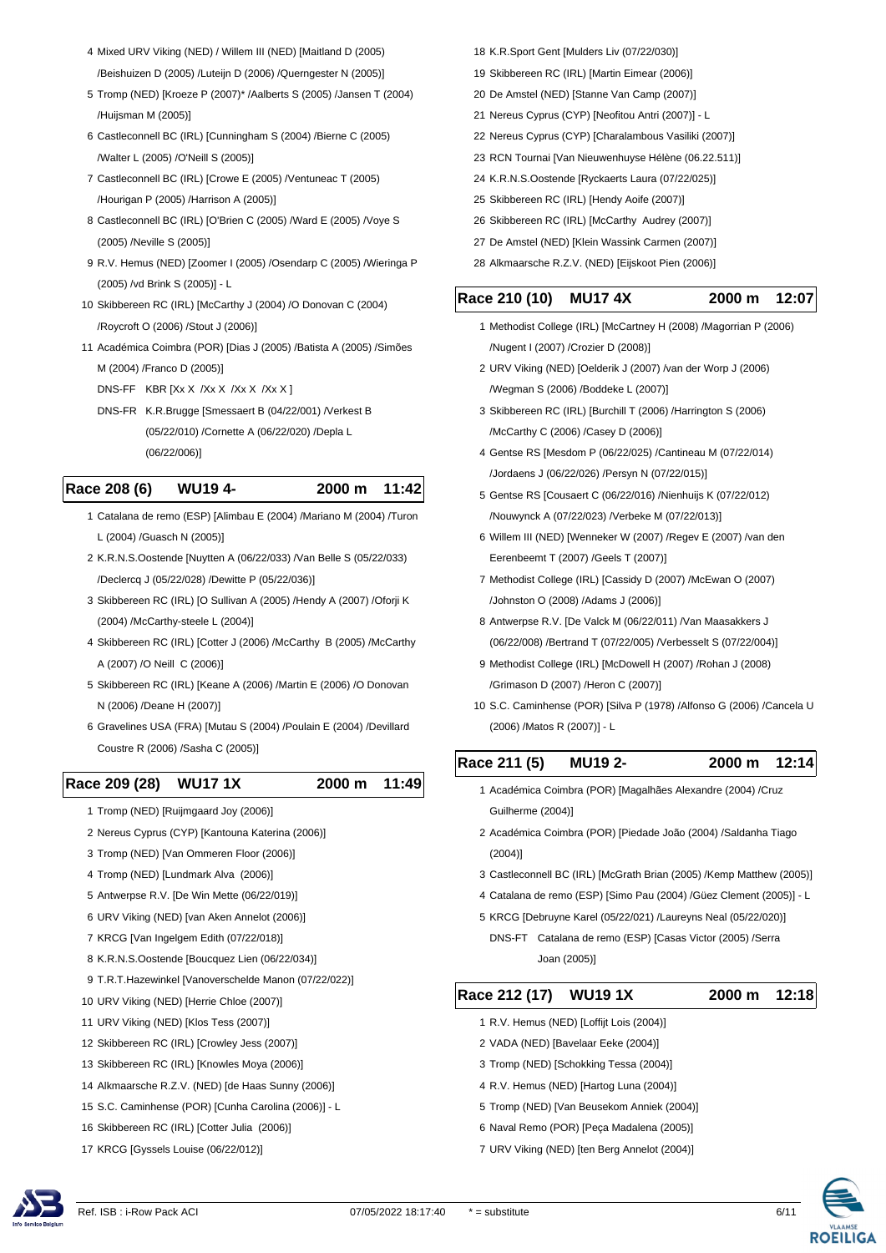- Mixed URV Viking (NED) / Willem III (NED) [Maitland D (2005) /Beishuizen D (2005) /Luteijn D (2006) /Querngester N (2005)]
- Tromp (NED) [Kroeze P (2007)\* /Aalberts S (2005) /Jansen T (2004) /Huijsman M (2005)]
- Castleconnell BC (IRL) [Cunningham S (2004) /Bierne C (2005) /Walter L (2005) /O'Neill S (2005)]
- Castleconnell BC (IRL) [Crowe E (2005) /Ventuneac T (2005) /Hourigan P (2005) /Harrison A (2005)]
- Castleconnell BC (IRL) [O'Brien C (2005) /Ward E (2005) /Voye S (2005) /Neville S (2005)]
- R.V. Hemus (NED) [Zoomer I (2005) /Osendarp C (2005) /Wieringa P (2005) /vd Brink S (2005)] - L
- Skibbereen RC (IRL) [McCarthy J (2004) /O Donovan C (2004) /Roycroft O (2006) /Stout J (2006)]
- Académica Coimbra (POR) [Dias J (2005) /Batista A (2005) /Simões M (2004) /Franco D (2005)]
	- DNS-FF KBR [Xx X /Xx X /Xx X /Xx X ]
	- DNS-FR K.R.Brugge [Smessaert B (04/22/001) /Verkest B (05/22/010) /Cornette A (06/22/020) /Depla L
		- (06/22/006)]

#### **Race 208 (6) WU19 4- 2000 m 11:42**

- Catalana de remo (ESP) [Alimbau E (2004) /Mariano M (2004) /Turon L (2004) /Guasch N (2005)]
- K.R.N.S.Oostende [Nuytten A (06/22/033) /Van Belle S (05/22/033) /Declercq J (05/22/028) /Dewitte P (05/22/036)]
- Skibbereen RC (IRL) [O Sullivan A (2005) /Hendy A (2007) /Oforji K (2004) /McCarthy-steele L (2004)]
- Skibbereen RC (IRL) [Cotter J (2006) /McCarthy B (2005) /McCarthy A (2007) /O Neill C (2006)]
- Skibbereen RC (IRL) [Keane A (2006) /Martin E (2006) /O Donovan N (2006) /Deane H (2007)]
- Gravelines USA (FRA) [Mutau S (2004) /Poulain E (2004) /Devillard Coustre R (2006) /Sasha C (2005)]

#### **Race 209 (28) WU17 1X 2000 m 11:49**

- Tromp (NED) [Ruijmgaard Joy (2006)]
- Nereus Cyprus (CYP) [Kantouna Katerina (2006)]
- Tromp (NED) [Van Ommeren Floor (2006)]
- Tromp (NED) [Lundmark Alva (2006)]
- Antwerpse R.V. [De Win Mette (06/22/019)]
- URV Viking (NED) [van Aken Annelot (2006)]
- KRCG [Van Ingelgem Edith (07/22/018)]
- K.R.N.S.Oostende [Boucquez Lien (06/22/034)]
- T.R.T.Hazewinkel [Vanoverschelde Manon (07/22/022)]
- URV Viking (NED) [Herrie Chloe (2007)]
- URV Viking (NED) [Klos Tess (2007)]
- Skibbereen RC (IRL) [Crowley Jess (2007)]
- Skibbereen RC (IRL) [Knowles Moya (2006)]
- Alkmaarsche R.Z.V. (NED) [de Haas Sunny (2006)]
- S.C. Caminhense (POR) [Cunha Carolina (2006)] L
- Skibbereen RC (IRL) [Cotter Julia (2006)]
- KRCG [Gyssels Louise (06/22/012)]
- K.R.Sport Gent [Mulders Liv (07/22/030)]
- Skibbereen RC (IRL) [Martin Eimear (2006)]
- De Amstel (NED) [Stanne Van Camp (2007)]
- Nereus Cyprus (CYP) [Neofitou Antri (2007)] L
- Nereus Cyprus (CYP) [Charalambous Vasiliki (2007)]
- RCN Tournai [Van Nieuwenhuyse Hélène (06.22.511)]
- K.R.N.S.Oostende [Ryckaerts Laura (07/22/025)]
- Skibbereen RC (IRL) [Hendy Aoife (2007)]
- Skibbereen RC (IRL) [McCarthy Audrey (2007)]
- De Amstel (NED) [Klein Wassink Carmen (2007)]
- Alkmaarsche R.Z.V. (NED) [Eijskoot Pien (2006)]

#### **Race 210 (10) MU17 4X 2000 m 12:07**

- Methodist College (IRL) [McCartney H (2008) /Magorrian P (2006) /Nugent I (2007) /Crozier D (2008)]
- URV Viking (NED) [Oelderik J (2007) /van der Worp J (2006) /Wegman S (2006) /Boddeke L (2007)]
- Skibbereen RC (IRL) [Burchill T (2006) /Harrington S (2006) /McCarthy C (2006) /Casey D (2006)]
- Gentse RS [Mesdom P (06/22/025) /Cantineau M (07/22/014) /Jordaens J (06/22/026) /Persyn N (07/22/015)]
- Gentse RS [Cousaert C (06/22/016) /Nienhuijs K (07/22/012) /Nouwynck A (07/22/023) /Verbeke M (07/22/013)]
- Willem III (NED) [Wenneker W (2007) /Regev E (2007) /van den Eerenbeemt T (2007) /Geels T (2007)]
- Methodist College (IRL) [Cassidy D (2007) /McEwan O (2007) /Johnston O (2008) /Adams J (2006)]
- Antwerpse R.V. [De Valck M (06/22/011) /Van Maasakkers J (06/22/008) /Bertrand T (07/22/005) /Verbesselt S (07/22/004)]
- Methodist College (IRL) [McDowell H (2007) /Rohan J (2008) /Grimason D (2007) /Heron C (2007)]
- S.C. Caminhense (POR) [Silva P (1978) /Alfonso G (2006) /Cancela U (2006) /Matos R (2007)] - L

# **Race 211 (5) MU19 2- 2000 m 12:14**

- Académica Coimbra (POR) [Magalhães Alexandre (2004) /Cruz Guilherme (2004)]
- Académica Coimbra (POR) [Piedade João (2004) /Saldanha Tiago (2004)]
- Castleconnell BC (IRL) [McGrath Brian (2005) /Kemp Matthew (2005)]
- Catalana de remo (ESP) [Simo Pau (2004) /Güez Clement (2005)] L
- KRCG [Debruyne Karel (05/22/021) /Laureyns Neal (05/22/020)]
	- DNS-FT Catalana de remo (ESP) [Casas Victor (2005) /Serra Joan (2005)]

## **Race 212 (17) WU19 1X 2000 m 12:18**

- R.V. Hemus (NED) [Loffijt Lois (2004)]
- VADA (NED) [Bavelaar Eeke (2004)]
- Tromp (NED) [Schokking Tessa (2004)]
- R.V. Hemus (NED) [Hartog Luna (2004)]
- Tromp (NED) [Van Beusekom Anniek (2004)]
- Naval Remo (POR) [Peça Madalena (2005)]
- URV Viking (NED) [ten Berg Annelot (2004)]

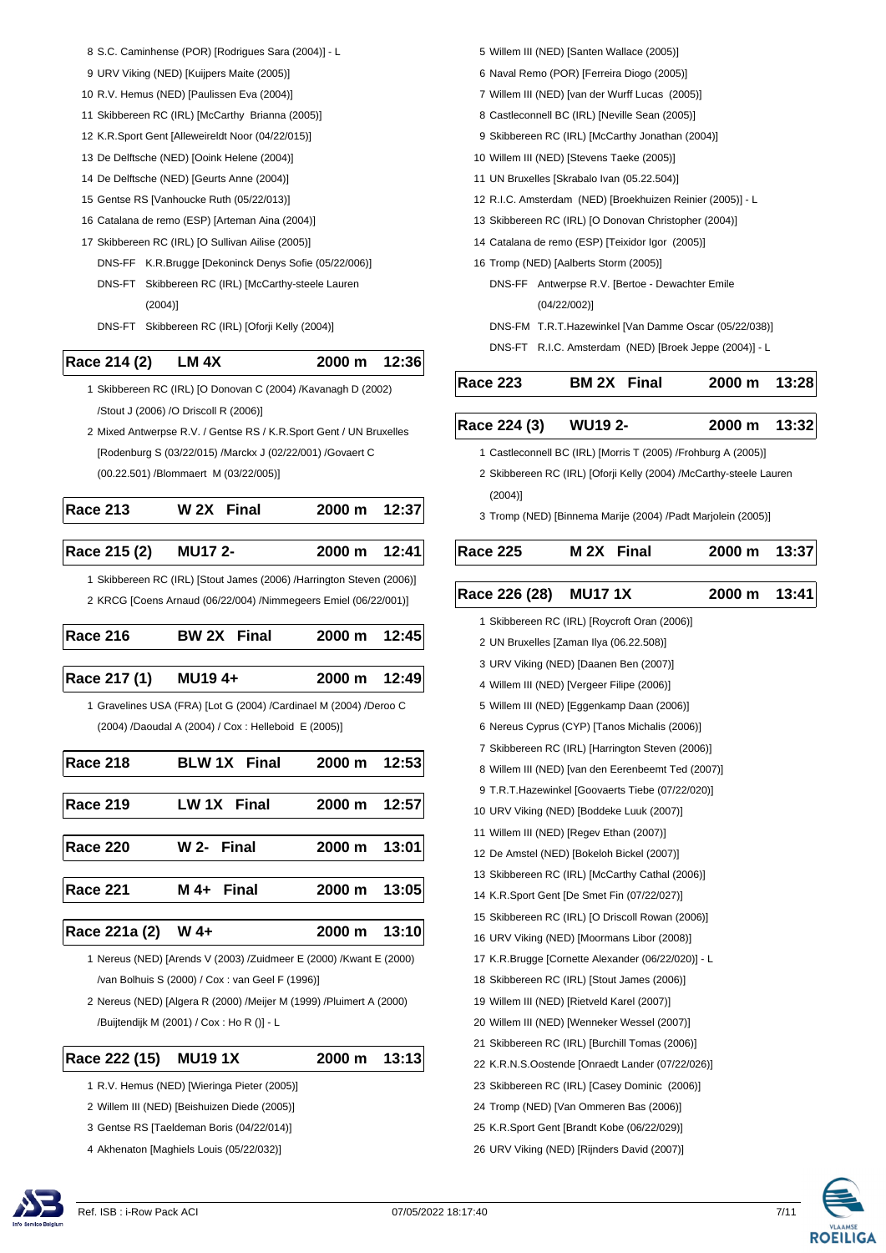- S.C. Caminhense (POR) [Rodrigues Sara (2004)] L
- URV Viking (NED) [Kuijpers Maite (2005)]
- R.V. Hemus (NED) [Paulissen Eva (2004)]
- Skibbereen RC (IRL) [McCarthy Brianna (2005)]
- K.R.Sport Gent [Alleweireldt Noor (04/22/015)]
- De Delftsche (NED) [Ooink Helene (2004)]
- De Delftsche (NED) [Geurts Anne (2004)]
- Gentse RS [Vanhoucke Ruth (05/22/013)]
- Catalana de remo (ESP) [Arteman Aina (2004)]
- Skibbereen RC (IRL) [O Sullivan Ailise (2005)]
	- DNS-FF K.R.Brugge [Dekoninck Denys Sofie (05/22/006)]
	- DNS-FT Skibbereen RC (IRL) [McCarthy-steele Lauren (2004)]
	- DNS-FT Skibbereen RC (IRL) [Oforji Kelly (2004)]

# **Race 214 (2) LM 4X 2000 m 12:36**

- Skibbereen RC (IRL) [O Donovan C (2004) /Kavanagh D (2002) /Stout J (2006) /O Driscoll R (2006)]
- Mixed Antwerpse R.V. / Gentse RS / K.R.Sport Gent / UN Bruxelles [Rodenburg S (03/22/015) /Marckx J (02/22/001) /Govaert C (00.22.501) /Blommaert M (03/22/005)]

| <b>Race 213</b>      | W <sub>2X</sub> Final | 2000 m 12:37   |  |
|----------------------|-----------------------|----------------|--|
|                      |                       |                |  |
| Race 215 (2) MU17 2- |                       | 2000 m $12:41$ |  |

 Skibbereen RC (IRL) [Stout James (2006) /Harrington Steven (2006)] KRCG [Coens Arnaud (06/22/004) /Nimmegeers Emiel (06/22/001)]

| <b>Race 216</b> | <b>BW 2X</b> Final | 2000 m 12:45 |  |
|-----------------|--------------------|--------------|--|
| Race 217 (1)    | <b>MU194+</b>      | 2000 m 12:49 |  |
|                 |                    |              |  |

 Gravelines USA (FRA) [Lot G (2004) /Cardinael M (2004) /Deroo C (2004) /Daoudal A (2004) / Cox : Helleboid E (2005)]

| Race 218        | <b>BLW 1X Final</b> | 2000 m 12:53 |  |
|-----------------|---------------------|--------------|--|
| <b>Race 219</b> | LW 1X Final         | 2000 m 12:57 |  |
| <b>Race 220</b> | W 2- Final          | 2000 m 13:01 |  |
| <b>Race 221</b> | $M$ 4+ Final        | 2000 m 13:05 |  |
| Race 221a (2)   | $W_4+$              | 2000 m 13:10 |  |

 Nereus (NED) [Arends V (2003) /Zuidmeer E (2000) /Kwant E (2000) /van Bolhuis S (2000) / Cox : van Geel F (1996)]

- Nereus (NED) [Algera R (2000) /Meijer M (1999) /Pluimert A (2000) /Buijtendijk M (2001) / Cox : Ho R ()] - L
- **Race 222 (15) MU19 1X 2000 m 13:13**

- R.V. Hemus (NED) [Wieringa Pieter (2005)]
- Willem III (NED) [Beishuizen Diede (2005)]
- Gentse RS [Taeldeman Boris (04/22/014)]
- Akhenaton [Maghiels Louis (05/22/032)]
- Willem III (NED) [Santen Wallace (2005)]
- Naval Remo (POR) [Ferreira Diogo (2005)]
- Willem III (NED) [van der Wurff Lucas (2005)]
- Castleconnell BC (IRL) [Neville Sean (2005)]
- Skibbereen RC (IRL) [McCarthy Jonathan (2004)]
- Willem III (NED) [Stevens Taeke (2005)]
- UN Bruxelles [Skrabalo Ivan (05.22.504)]
- R.I.C. Amsterdam (NED) [Broekhuizen Reinier (2005)] L
- Skibbereen RC (IRL) [O Donovan Christopher (2004)]
- Catalana de remo (ESP) [Teixidor Igor (2005)]
- Tromp (NED) [Aalberts Storm (2005)]
	- DNS-FF Antwerpse R.V. [Bertoe Dewachter Emile (04/22/002)]
	- DNS-FM T.R.T.Hazewinkel [Van Damme Oscar (05/22/038)]
	- DNS-FT R.I.C. Amsterdam (NED) [Broek Jeppe (2004)] L

| <b>Race 223</b> | <b>BM 2X</b> Final | 2000 m 13:28 |  |
|-----------------|--------------------|--------------|--|
|                 |                    |              |  |

| Race 224 (3) | <b>WU19 2-</b> | 2000 m 13:32 |  |
|--------------|----------------|--------------|--|

- Castleconnell BC (IRL) [Morris T (2005) /Frohburg A (2005)]
- Skibbereen RC (IRL) [Oforji Kelly (2004) /McCarthy-steele Lauren (2004)]
- Tromp (NED) [Binnema Marije (2004) /Padt Marjolein (2005)]

| <b>Race 225</b> | M <sub>2X</sub> Final |  | 2000 m 13:37 |  |
|-----------------|-----------------------|--|--------------|--|
|-----------------|-----------------------|--|--------------|--|

- $\overline{a}$ **Race 226 (28) MU17 1X 2000 m 13:41**
	- Skibbereen RC (IRL) [Roycroft Oran (2006)]
	- UN Bruxelles [Zaman Ilya (06.22.508)]
	- URV Viking (NED) [Daanen Ben (2007)]
	- Willem III (NED) [Vergeer Filipe (2006)]
	- Willem III (NED) [Eggenkamp Daan (2006)]
	- Nereus Cyprus (CYP) [Tanos Michalis (2006)]
	- Skibbereen RC (IRL) [Harrington Steven (2006)]
	- Willem III (NED) [van den Eerenbeemt Ted (2007)]
	- T.R.T.Hazewinkel [Goovaerts Tiebe (07/22/020)]
	- URV Viking (NED) [Boddeke Luuk (2007)]
	- Willem III (NED) [Regev Ethan (2007)]
	- De Amstel (NED) [Bokeloh Bickel (2007)]
	- Skibbereen RC (IRL) [McCarthy Cathal (2006)]
	- K.R.Sport Gent [De Smet Fin (07/22/027)]
	- Skibbereen RC (IRL) [O Driscoll Rowan (2006)]
	- URV Viking (NED) [Moormans Libor (2008)]
	- K.R.Brugge [Cornette Alexander (06/22/020)] L
	- Skibbereen RC (IRL) [Stout James (2006)]
	- Willem III (NED) [Rietveld Karel (2007)]
	- Willem III (NED) [Wenneker Wessel (2007)]
	- Skibbereen RC (IRL) [Burchill Tomas (2006)]
	- K.R.N.S.Oostende [Onraedt Lander (07/22/026)]
	- Skibbereen RC (IRL) [Casey Dominic (2006)]
	- Tromp (NED) [Van Ommeren Bas (2006)]
	- K.R.Sport Gent [Brandt Kobe (06/22/029)]
	- URV Viking (NED) [Rijnders David (2007)]

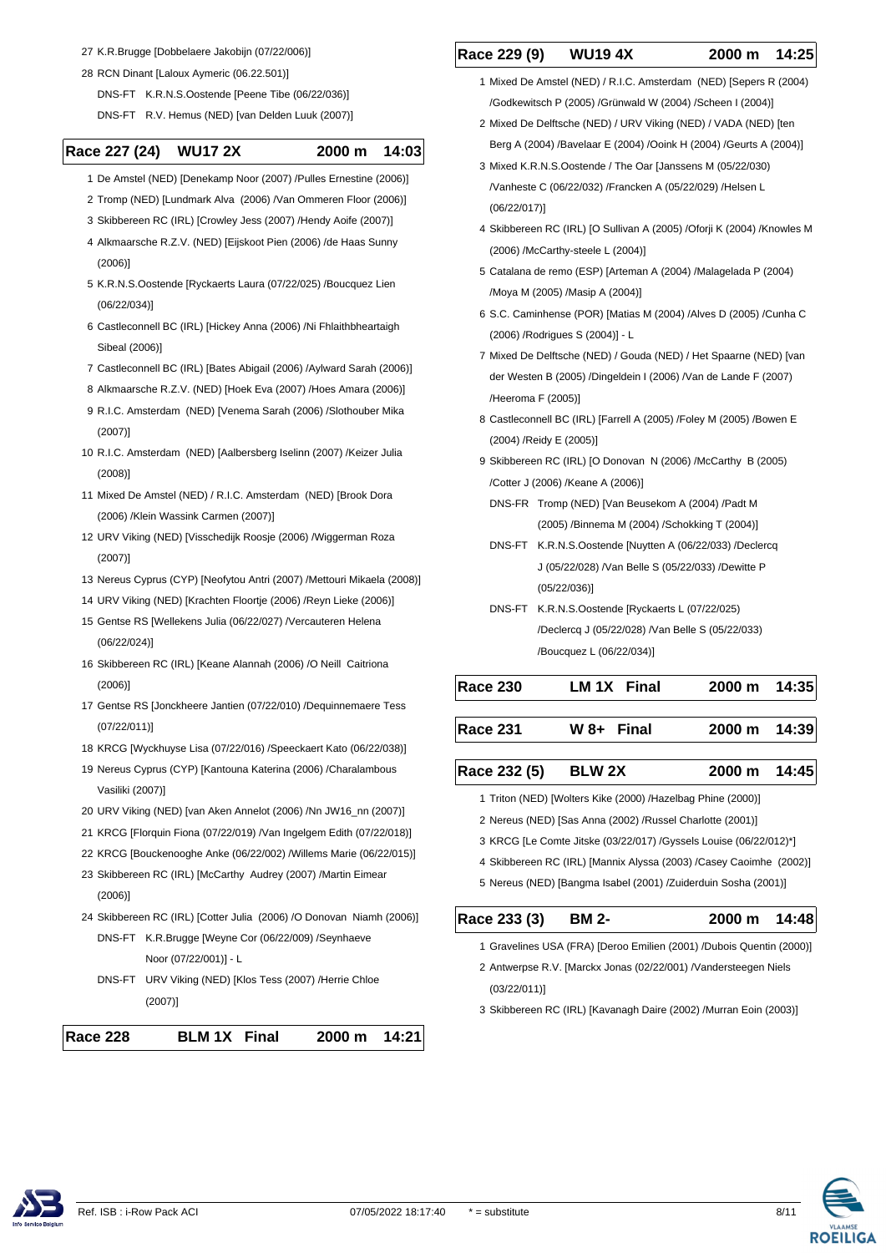- 27 K.R.Brugge [Dobbelaere Jakobijn (07/22/006)]
- 28 RCN Dinant [Laloux Aymeric (06.22.501)] DNS-FT K.R.N.S.Oostende [Peene Tibe (06/22/036)]
	- DNS-FT R.V. Hemus (NED) [van Delden Luuk (2007)]

# **Race 227 (24) WU17 2X 2000 m 14:03**

- 1 De Amstel (NED) [Denekamp Noor (2007) /Pulles Ernestine (2006)]
- 2 Tromp (NED) [Lundmark Alva (2006) /Van Ommeren Floor (2006)]
- 3 Skibbereen RC (IRL) [Crowley Jess (2007) /Hendy Aoife (2007)]
- 4 Alkmaarsche R.Z.V. (NED) [Eijskoot Pien (2006) /de Haas Sunny (2006)]
- 5 K.R.N.S.Oostende [Ryckaerts Laura (07/22/025) /Boucquez Lien (06/22/034)]
- 6 Castleconnell BC (IRL) [Hickey Anna (2006) /Ni Fhlaithbheartaigh Sibeal (2006)]
- 7 Castleconnell BC (IRL) [Bates Abigail (2006) /Aylward Sarah (2006)]
- 8 Alkmaarsche R.Z.V. (NED) [Hoek Eva (2007) /Hoes Amara (2006)]
- 9 R.I.C. Amsterdam (NED) [Venema Sarah (2006) /Slothouber Mika (2007)]
- 10 R.I.C. Amsterdam (NED) [Aalbersberg Iselinn (2007) /Keizer Julia (2008)]
- 11 Mixed De Amstel (NED) / R.I.C. Amsterdam (NED) [Brook Dora (2006) /Klein Wassink Carmen (2007)]
- 12 URV Viking (NED) [Visschedijk Roosje (2006) /Wiggerman Roza (2007)]
- 13 Nereus Cyprus (CYP) [Neofytou Antri (2007) /Mettouri Mikaela (2008)]
- 14 URV Viking (NED) [Krachten Floortje (2006) /Reyn Lieke (2006)]
- 15 Gentse RS [Wellekens Julia (06/22/027) /Vercauteren Helena (06/22/024)]
- 16 Skibbereen RC (IRL) [Keane Alannah (2006) /O Neill Caitriona (2006)]
- 17 Gentse RS [Jonckheere Jantien (07/22/010) /Dequinnemaere Tess (07/22/011)]
- 18 KRCG [Wyckhuyse Lisa (07/22/016) /Speeckaert Kato (06/22/038)]
- 19 Nereus Cyprus (CYP) [Kantouna Katerina (2006) /Charalambous Vasiliki (2007)]
- 20 URV Viking (NED) [van Aken Annelot (2006) /Nn JW16\_nn (2007)] 21 KRCG [Florquin Fiona (07/22/019) /Van Ingelgem Edith (07/22/018)]
- 22 KRCG [Bouckenooghe Anke (06/22/002) /Willems Marie (06/22/015)]
- 
- 23 Skibbereen RC (IRL) [McCarthy Audrey (2007) /Martin Eimear
- (2006)] 24 Skibbereen RC (IRL) [Cotter Julia (2006) /O Donovan Niamh (2006)]
	- DNS-FT K.R.Brugge [Weyne Cor (06/22/009) /Seynhaeve Noor (07/22/001)] - L
	- DNS-FT URV Viking (NED) [Klos Tess (2007) /Herrie Chloe (2007)]

| <b>Race 228</b><br><b>BLM 1X</b> Final<br>2000 m 14:21 |
|--------------------------------------------------------|
|--------------------------------------------------------|

# **Race 229 (9) WU19 4X 2000 m 14:25**

- 1 Mixed De Amstel (NED) / R.I.C. Amsterdam (NED) [Sepers R (2004) /Godkewitsch P (2005) /Grünwald W (2004) /Scheen I (2004)]
- 2 Mixed De Delftsche (NED) / URV Viking (NED) / VADA (NED) [ten Berg A (2004) /Bavelaar E (2004) /Ooink H (2004) /Geurts A (2004)]
- 3 Mixed K.R.N.S.Oostende / The Oar [Janssens M (05/22/030) /Vanheste C (06/22/032) /Francken A (05/22/029) /Helsen L (06/22/017)]
- 4 Skibbereen RC (IRL) [O Sullivan A (2005) /Oforji K (2004) /Knowles M (2006) /McCarthy-steele L (2004)]
- 5 Catalana de remo (ESP) [Arteman A (2004) /Malagelada P (2004) /Moya M (2005) /Masip A (2004)]
- 6 S.C. Caminhense (POR) [Matias M (2004) /Alves D (2005) /Cunha C (2006) /Rodrigues S (2004)] - L
- 7 Mixed De Delftsche (NED) / Gouda (NED) / Het Spaarne (NED) [van der Westen B (2005) /Dingeldein I (2006) /Van de Lande F (2007) /Heeroma F (2005)]
- 8 Castleconnell BC (IRL) [Farrell A (2005) /Foley M (2005) /Bowen E (2004) /Reidy E (2005)]
- 9 Skibbereen RC (IRL) [O Donovan N (2006) /McCarthy B (2005) /Cotter J (2006) /Keane A (2006)]
	- DNS-FR Tromp (NED) [Van Beusekom A (2004) /Padt M (2005) /Binnema M (2004) /Schokking T (2004)]
	- DNS-FT K.R.N.S.Oostende [Nuytten A (06/22/033) /Declercq J (05/22/028) /Van Belle S (05/22/033) /Dewitte P (05/22/036)]
	- DNS-FT K.R.N.S.Oostende [Ryckaerts L (07/22/025) /Declercq J (05/22/028) /Van Belle S (05/22/033) /Boucquez L (06/22/034)]

| <b>Race 230</b> | LM 1X Final | 2000 m 14:35 |  |
|-----------------|-------------|--------------|--|
|                 |             |              |  |

**Race 231 W 8+ Final 2000 m 14:39**

| Race 232 (5) | <b>BLW 2X</b> | 2000 m 14:45 |  |
|--------------|---------------|--------------|--|

- 1 Triton (NED) [Wolters Kike (2000) /Hazelbag Phine (2000)]
- 2 Nereus (NED) [Sas Anna (2002) /Russel Charlotte (2001)]
- 3 KRCG [Le Comte Jitske (03/22/017) /Gyssels Louise (06/22/012)\*]
- 4 Skibbereen RC (IRL) [Mannix Alyssa (2003) /Casey Caoimhe (2002)]
- 5 Nereus (NED) [Bangma Isabel (2001) /Zuiderduin Sosha (2001)]

- 1 Gravelines USA (FRA) [Deroo Emilien (2001) /Dubois Quentin (2000)]
- 2 Antwerpse R.V. [Marckx Jonas (02/22/001) /Vandersteegen Niels (03/22/011)]
- 3 Skibbereen RC (IRL) [Kavanagh Daire (2002) /Murran Eoin (2003)]

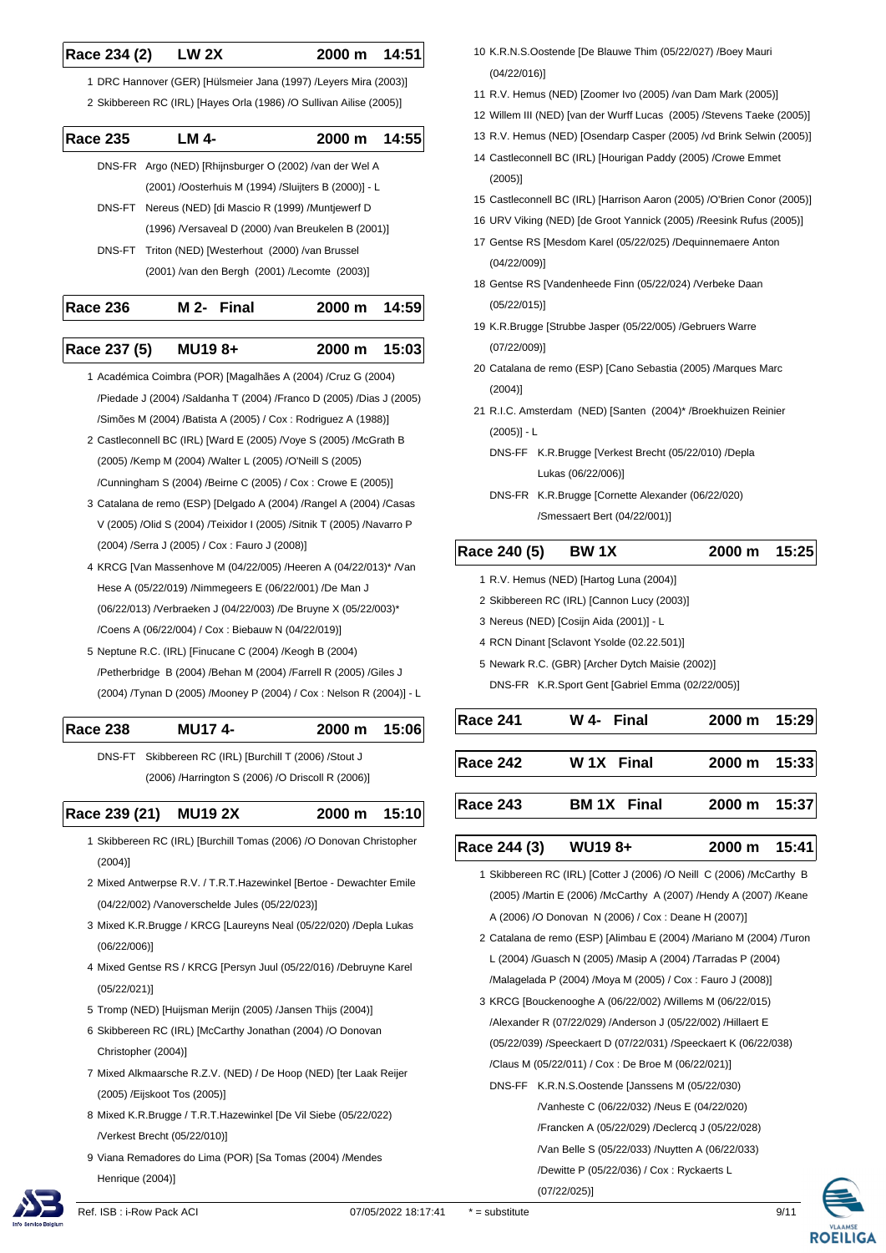#### **Race 234 (2) LW 2X 2000 m 14:51**

 1 DRC Hannover (GER) [Hülsmeier Jana (1997) /Leyers Mira (2003)] 2 Skibbereen RC (IRL) [Hayes Orla (1986) /O Sullivan Ailise (2005)]

| <b>Race 235</b> | LM 4-                                                   | 2000 m 14:55 |  |
|-----------------|---------------------------------------------------------|--------------|--|
|                 | DNS-FR Argo (NED) [Rhijnsburger O (2002) /van der Wel A |              |  |
|                 | (2001) /Oosterhuis M (1994) /Sluijters B (2000)] - L    |              |  |
|                 | DNS-FT Nereus (NED) [di Mascio R (1999) /Muntjewerf D   |              |  |
|                 | (1996) / Versaveal D (2000) / van Breukelen B (2001)]   |              |  |
|                 | DNS-FT Triton (NED) [Westerhout (2000) /van Brussel     |              |  |
|                 | (2001) /van den Bergh (2001) /Lecomte (2003)]           |              |  |
|                 |                                                         |              |  |

| <b>Race 236</b> | M 2- Final | 2000 m 14:59 |  |
|-----------------|------------|--------------|--|
|                 |            |              |  |
|                 |            |              |  |

# **Race 237 (5) MU19 8+ 2000 m 15:03**

- 1 Académica Coimbra (POR) [Magalhães A (2004) /Cruz G (2004) /Piedade J (2004) /Saldanha T (2004) /Franco D (2005) /Dias J (2005) /Simões M (2004) /Batista A (2005) / Cox : Rodriguez A (1988)]
- 2 Castleconnell BC (IRL) [Ward E (2005) /Voye S (2005) /McGrath B (2005) /Kemp M (2004) /Walter L (2005) /O'Neill S (2005) /Cunningham S (2004) /Beirne C (2005) / Cox : Crowe E (2005)]
- 3 Catalana de remo (ESP) [Delgado A (2004) /Rangel A (2004) /Casas V (2005) /Olid S (2004) /Teixidor I (2005) /Sitnik T (2005) /Navarro P (2004) /Serra J (2005) / Cox : Fauro J (2008)]
- 4 KRCG [Van Massenhove M (04/22/005) /Heeren A (04/22/013)\* /Van Hese A (05/22/019) /Nimmegeers E (06/22/001) /De Man J (06/22/013) /Verbraeken J (04/22/003) /De Bruyne X (05/22/003)\* /Coens A (06/22/004) / Cox : Biebauw N (04/22/019)]
- 5 Neptune R.C. (IRL) [Finucane C (2004) /Keogh B (2004) /Petherbridge B (2004) /Behan M (2004) /Farrell R (2005) /Giles J (2004) /Tynan D (2005) /Mooney P (2004) / Cox : Nelson R (2004)] - L

| <b>Race 238</b> | <b>MU174-</b> | $2000 \text{ m}$ | 15:06 |
|-----------------|---------------|------------------|-------|
|                 |               |                  |       |

DNS-FT Skibbereen RC (IRL) [Burchill T (2006) /Stout J (2006) /Harrington S (2006) /O Driscoll R (2006)]

**Race 239 (21) MU19 2X 2000 m 15:10**

- 1 Skibbereen RC (IRL) [Burchill Tomas (2006) /O Donovan Christopher (2004)]
- 2 Mixed Antwerpse R.V. / T.R.T.Hazewinkel [Bertoe Dewachter Emile (04/22/002) /Vanoverschelde Jules (05/22/023)]
- 3 Mixed K.R.Brugge / KRCG [Laureyns Neal (05/22/020) /Depla Lukas (06/22/006)]
- 4 Mixed Gentse RS / KRCG [Persyn Juul (05/22/016) /Debruyne Karel (05/22/021)]
- 5 Tromp (NED) [Huijsman Merijn (2005) /Jansen Thijs (2004)]
- 6 Skibbereen RC (IRL) [McCarthy Jonathan (2004) /O Donovan Christopher (2004)]
- 7 Mixed Alkmaarsche R.Z.V. (NED) / De Hoop (NED) [ter Laak Reijer (2005) /Eijskoot Tos (2005)]
- 8 Mixed K.R.Brugge / T.R.T.Hazewinkel [De Vil Siebe (05/22/022) /Verkest Brecht (05/22/010)]
- 9 Viana Remadores do Lima (POR) [Sa Tomas (2004) /Mendes Henrique (2004)]
- 10 K.R.N.S.Oostende [De Blauwe Thim (05/22/027) /Boey Mauri (04/22/016)]
- 11 R.V. Hemus (NED) [Zoomer Ivo (2005) /van Dam Mark (2005)]
- 12 Willem III (NED) [van der Wurff Lucas (2005) /Stevens Taeke (2005)]
- 13 R.V. Hemus (NED) [Osendarp Casper (2005) /vd Brink Selwin (2005)]
- 14 Castleconnell BC (IRL) [Hourigan Paddy (2005) /Crowe Emmet (2005)]
- 15 Castleconnell BC (IRL) [Harrison Aaron (2005) /O'Brien Conor (2005)]
- 16 URV Viking (NED) [de Groot Yannick (2005) /Reesink Rufus (2005)]
- 17 Gentse RS [Mesdom Karel (05/22/025) /Dequinnemaere Anton (04/22/009)]
- 18 Gentse RS [Vandenheede Finn (05/22/024) /Verbeke Daan (05/22/015)]
- 19 K.R.Brugge [Strubbe Jasper (05/22/005) /Gebruers Warre (07/22/009)]
- 20 Catalana de remo (ESP) [Cano Sebastia (2005) /Marques Marc (2004)]
- 21 R.I.C. Amsterdam (NED) [Santen (2004)\* /Broekhuizen Reinier (2005)] - L
	- DNS-FF K.R.Brugge [Verkest Brecht (05/22/010) /Depla Lukas (06/22/006)]
	- DNS-FR K.R.Brugge [Cornette Alexander (06/22/020) /Smessaert Bert (04/22/001)]

# **Race 240 (5) BW 1X 2000 m 15:25**

- 1 R.V. Hemus (NED) [Hartog Luna (2004)]
- 2 Skibbereen RC (IRL) [Cannon Lucy (2003)]
- 3 Nereus (NED) [Cosijn Aida (2001)] L
- 4 RCN Dinant [Sclavont Ysolde (02.22.501)]
- 5 Newark R.C. (GBR) [Archer Dytch Maisie (2002)]
	- DNS-FR K.R.Sport Gent [Gabriel Emma (02/22/005)]

| Race 241 | W 4- Final               | 2000 m 15:29           |  |
|----------|--------------------------|------------------------|--|
|          | Race 242 W 1X Final      | $2000 \text{ m}$ 15:33 |  |
| Race 243 | BM 1X Final 2000 m 15:37 |                        |  |

L **Race 244 (3) WU19 8+ 2000 m 15:41**

 1 Skibbereen RC (IRL) [Cotter J (2006) /O Neill C (2006) /McCarthy B (2005) /Martin E (2006) /McCarthy A (2007) /Hendy A (2007) /Keane A (2006) /O Donovan N (2006) / Cox : Deane H (2007)]

- 2 Catalana de remo (ESP) [Alimbau E (2004) /Mariano M (2004) /Turon L (2004) /Guasch N (2005) /Masip A (2004) /Tarradas P (2004) /Malagelada P (2004) /Moya M (2005) / Cox : Fauro J (2008)]
- 3 KRCG [Bouckenooghe A (06/22/002) /Willems M (06/22/015) /Alexander R (07/22/029) /Anderson J (05/22/002) /Hillaert E (05/22/039) /Speeckaert D (07/22/031) /Speeckaert K (06/22/038) /Claus M (05/22/011) / Cox : De Broe M (06/22/021)]
	- DNS-FF K.R.N.S.Oostende [Janssens M (05/22/030) /Vanheste C (06/22/032) /Neus E (04/22/020)

/Francken A (05/22/029) /Declercq J (05/22/028)

/Van Belle S (05/22/033) /Nuytten A (06/22/033)

/Dewitte P (05/22/036) / Cox : Ryckaerts L





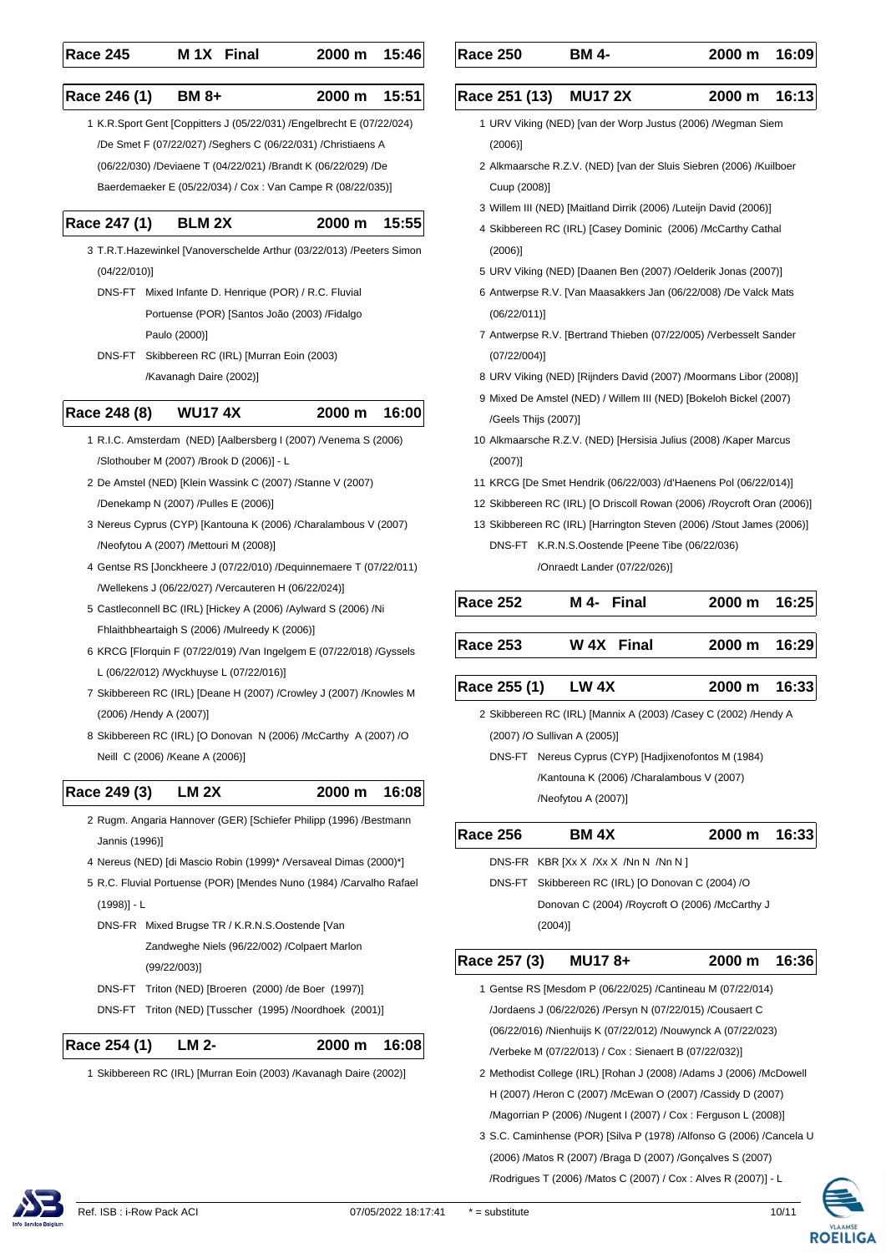| <b>Race 245</b> | M <sub>1X</sub> Final | 2000 m 15:46 |  |
|-----------------|-----------------------|--------------|--|
|                 |                       |              |  |

L **Race 246 (1) BM 8+ 2000 m 15:51**

 1 K.R.Sport Gent [Coppitters J (05/22/031) /Engelbrecht E (07/22/024) /De Smet F (07/22/027) /Seghers C (06/22/031) /Christiaens A (06/22/030) /Deviaene T (04/22/021) /Brandt K (06/22/029) /De Baerdemaeker E (05/22/034) / Cox : Van Campe R (08/22/035)]

#### **Race 247 (1) BLM 2X 2000 m 15:55**

- 3 T.R.T.Hazewinkel [Vanoverschelde Arthur (03/22/013) /Peeters Simon (04/22/010)]
	- DNS-FT Mixed Infante D. Henrique (POR) / R.C. Fluvial Portuense (POR) [Santos João (2003) /Fidalgo Paulo (2000)]
- DNS-FT Skibbereen RC (IRL) [Murran Eoin (2003) /Kavanagh Daire (2002)]

### **Race 248 (8) WU17 4X 2000 m 16:00**

- 1 R.I.C. Amsterdam (NED) [Aalbersberg I (2007) /Venema S (2006) /Slothouber M (2007) /Brook D (2006)] - L
- 2 De Amstel (NED) [Klein Wassink C (2007) /Stanne V (2007) /Denekamp N (2007) /Pulles E (2006)]
- 3 Nereus Cyprus (CYP) [Kantouna K (2006) /Charalambous V (2007) /Neofytou A (2007) /Mettouri M (2008)]
- 4 Gentse RS [Jonckheere J (07/22/010) /Dequinnemaere T (07/22/011) /Wellekens J (06/22/027) /Vercauteren H (06/22/024)]
- 5 Castleconnell BC (IRL) [Hickey A (2006) /Aylward S (2006) /Ni Fhlaithbheartaigh S (2006) /Mulreedy K (2006)]
- 6 KRCG [Florquin F (07/22/019) /Van Ingelgem E (07/22/018) /Gyssels L (06/22/012) /Wyckhuyse L (07/22/016)]
- 7 Skibbereen RC (IRL) [Deane H (2007) /Crowley J (2007) /Knowles M (2006) /Hendy A (2007)]
- 8 Skibbereen RC (IRL) [O Donovan N (2006) /McCarthy A (2007) /O Neill C (2006) /Keane A (2006)]
- **Race 249 (3) LM 2X 2000 m 16:08**
	- 2 Rugm. Angaria Hannover (GER) [Schiefer Philipp (1996) /Bestmann Jannis (1996)]
	- 4 Nereus (NED) [di Mascio Robin (1999)\* /Versaveal Dimas (2000)\*]
	- 5 R.C. Fluvial Portuense (POR) [Mendes Nuno (1984) /Carvalho Rafael (1998)] - L
		- DNS-FR Mixed Brugse TR / K.R.N.S.Oostende [Van Zandweghe Niels (96/22/002) /Colpaert Marlon (99/22/003)]
		- DNS-FT Triton (NED) [Broeren (2000) /de Boer (1997)]
		- DNS-FT Triton (NED) [Tusscher (1995) /Noordhoek (2001)]

**Race 254 (1) LM 2- 2000 m 16:08**

1 Skibbereen RC (IRL) [Murran Eoin (2003) /Kavanagh Daire (2002)]

**Race 250 BM 4- 2000 m 16:09**

#### L **Race 251 (13) MU17 2X 2000 m 16:13**

- 1 URV Viking (NED) [van der Worp Justus (2006) /Wegman Siem (2006)]
- 2 Alkmaarsche R.Z.V. (NED) [van der Sluis Siebren (2006) /Kuilboer Cuup (2008)]
- 3 Willem III (NED) [Maitland Dirrik (2006) /Luteijn David (2006)]
- 4 Skibbereen RC (IRL) [Casey Dominic (2006) /McCarthy Cathal (2006)]
- 5 URV Viking (NED) [Daanen Ben (2007) /Oelderik Jonas (2007)]
- 6 Antwerpse R.V. [Van Maasakkers Jan (06/22/008) /De Valck Mats (06/22/011)]
- 7 Antwerpse R.V. [Bertrand Thieben (07/22/005) /Verbesselt Sander (07/22/004)]
- 8 URV Viking (NED) [Rijnders David (2007) /Moormans Libor (2008)]
- 9 Mixed De Amstel (NED) / Willem III (NED) [Bokeloh Bickel (2007) /Geels Thijs (2007)]
- 10 Alkmaarsche R.Z.V. (NED) [Hersisia Julius (2008) /Kaper Marcus (2007)]
- 11 KRCG [De Smet Hendrik (06/22/003) /d'Haenens Pol (06/22/014)]
- 12 Skibbereen RC (IRL) [O Driscoll Rowan (2006) /Roycroft Oran (2006)]
- 13 Skibbereen RC (IRL) [Harrington Steven (2006) /Stout James (2006)] DNS-FT K.R.N.S.Oostende [Peene Tibe (06/22/036) /Onraedt Lander (07/22/026)]

| <b>Race 252</b> | M 4- Final | $2000 \text{ m}$ 16:25 |
|-----------------|------------|------------------------|
| <b>Race 253</b> | W 4X Final | 2000 m 16:29           |
|                 |            |                        |

# **Race 255 (1) LW 4X 2000 m 16:33**

 2 Skibbereen RC (IRL) [Mannix A (2003) /Casey C (2002) /Hendy A (2007) /O Sullivan A (2005)]

DNS-FT Nereus Cyprus (CYP) [Hadjixenofontos M (1984) /Kantouna K (2006) /Charalambous V (2007) /Neofytou A (2007)]

| <b>Race 256</b>                                             | <b>BM 4X</b>                                      | 2000 m 16:33 |       |  |  |
|-------------------------------------------------------------|---------------------------------------------------|--------------|-------|--|--|
|                                                             | DNS-FR KBR [Xx X /Xx X /Nn N /Nn N ]              |              |       |  |  |
| DNS-FT                                                      | Skibbereen RC (IRL) [O Donovan C (2004) /O        |              |       |  |  |
|                                                             | Donovan C (2004) / Roycroft O (2006) / McCarthy J |              |       |  |  |
|                                                             | (2004)                                            |              |       |  |  |
| Race 257 (3)                                                | MU178+                                            | 2000 m       | 16:36 |  |  |
| 1 Gentse RS [Mesdom P (06/22/025) / Cantineau M (07/22/014) |                                                   |              |       |  |  |
| /Jordaens J (06/22/026) /Persyn N (07/22/015) /Cousaert C   |                                                   |              |       |  |  |

- (06/22/016) /Nienhuijs K (07/22/012) /Nouwynck A (07/22/023) /Verbeke M (07/22/013) / Cox : Sienaert B (07/22/032)]
- 2 Methodist College (IRL) [Rohan J (2008) /Adams J (2006) /McDowell H (2007) /Heron C (2007) /McEwan O (2007) /Cassidy D (2007) /Magorrian P (2006) /Nugent I (2007) / Cox : Ferguson L (2008)]
- 3 S.C. Caminhense (POR) [Silva P (1978) /Alfonso G (2006) /Cancela U (2006) /Matos R (2007) /Braga D (2007) /Gonçalves S (2007) /Rodrigues T (2006) /Matos C (2007) / Cox : Alves R (2007)] - L